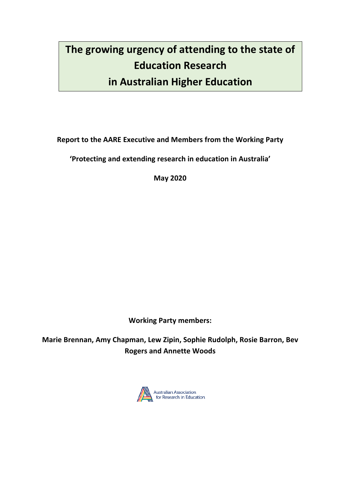# **The growing urgency of attending to the state of Education Research in Australian Higher Education**

**Report to the AARE Executive and Members from the Working Party**

**'Protecting and extending research in education in Australia'**

**May 2020**

**Working Party members:**

**Marie Brennan, Amy Chapman, Lew Zipin, Sophie Rudolph, Rosie Barron, Bev Rogers and Annette Woods**

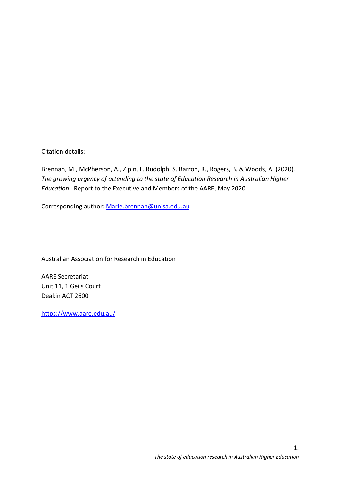Citation details:

Brennan, M., McPherson, A., Zipin, L. Rudolph, S. Barron, R., Rogers, B. & Woods, A. (2020). *The growing urgency of attending to the state of Education Research in Australian Higher Education*. Report to the Executive and Members of the AARE, May 2020.

Corresponding author: Marie.brennan@unisa.edu.au

Australian Association for Research in Education

AARE Secretariat Unit 11, 1 Geils Court Deakin ACT 2600

https://www.aare.edu.au/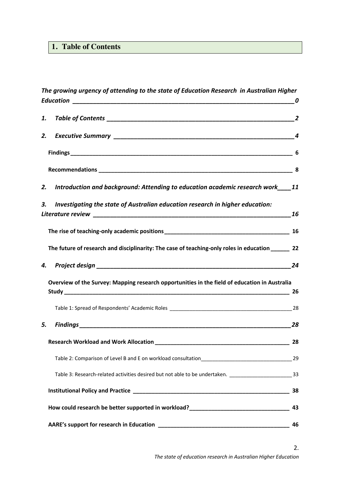# **1. Table of Contents**

|    | The growing urgency of attending to the state of Education Research in Australian Higher                 |    |
|----|----------------------------------------------------------------------------------------------------------|----|
| 1. |                                                                                                          |    |
| 2. |                                                                                                          |    |
|    |                                                                                                          |    |
|    |                                                                                                          |    |
| 2. | Introduction and background: Attending to education academic research work 11                            |    |
| 3. | Investigating the state of Australian education research in higher education:                            |    |
|    |                                                                                                          |    |
|    | The future of research and disciplinarity: The case of teaching-only roles in education ________ 22      |    |
| 4. |                                                                                                          |    |
|    | Overview of the Survey: Mapping research opportunities in the field of education in Australia            | 26 |
|    |                                                                                                          |    |
| 5. |                                                                                                          | 28 |
|    |                                                                                                          | 28 |
|    |                                                                                                          |    |
|    | Table 3: Research-related activities desired but not able to be undertaken. __________________________33 |    |
|    |                                                                                                          | 38 |
|    | How could research be better supported in workload?______________________________                        | 43 |
|    | AARE's support for research in Education                                                                 | 46 |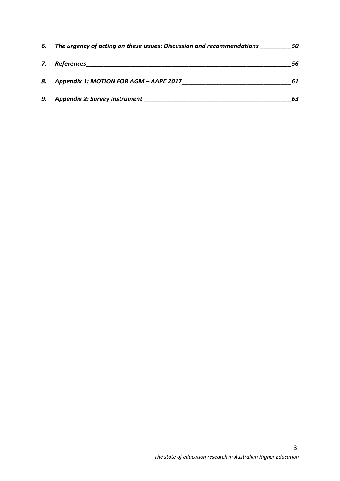| 6. | The urgency of acting on these issues: Discussion and recommendations | 50 |
|----|-----------------------------------------------------------------------|----|
| 7. | References                                                            | 56 |
| 8. | Appendix 1: MOTION FOR AGM - AARE 2017                                | 61 |
| 9. | <b>Appendix 2: Survey Instrument</b>                                  | 63 |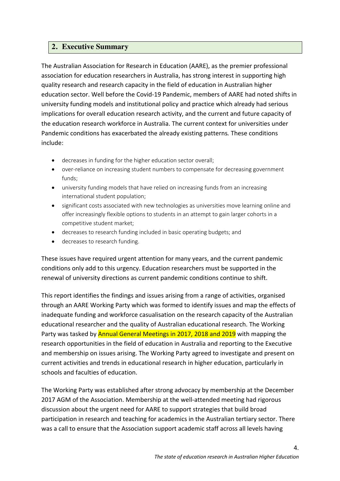## **2. Executive Summary**

The Australian Association for Research in Education (AARE), as the premier professional association for education researchers in Australia, has strong interest in supporting high quality research and research capacity in the field of education in Australian higher education sector. Well before the Covid-19 Pandemic, members of AARE had noted shifts in university funding models and institutional policy and practice which already had serious implications for overall education research activity, and the current and future capacity of the education research workforce in Australia. The current context for universities under Pandemic conditions has exacerbated the already existing patterns*.* These conditions include:

- decreases in funding for the higher education sector overall;
- over-reliance on increasing student numbers to compensate for decreasing government funds;
- university funding models that have relied on increasing funds from an increasing international student population;
- significant costs associated with new technologies as universities move learning online and offer increasingly flexible options to students in an attempt to gain larger cohorts in a competitive student market;
- decreases to research funding included in basic operating budgets; and
- decreases to research funding.

These issues have required urgent attention for many years, and the current pandemic conditions only add to this urgency. Education researchers must be supported in the renewal of university directions as current pandemic conditions continue to shift.

This report identifies the findings and issues arising from a range of activities, organised through an AARE Working Party which was formed to identify issues and map the effects of inadequate funding and workforce casualisation on the research capacity of the Australian educational researcher and the quality of Australian educational research. The Working Party was tasked by Annual General Meetings in 2017, 2018 and 2019 with mapping the research opportunities in the field of education in Australia and reporting to the Executive and membership on issues arising. The Working Party agreed to investigate and present on current activities and trends in educational research in higher education, particularly in schools and faculties of education.

The Working Party was established after strong advocacy by membership at the December 2017 AGM of the Association. Membership at the well-attended meeting had rigorous discussion about the urgent need for AARE to support strategies that build broad participation in research and teaching for academics in the Australian tertiary sector. There was a call to ensure that the Association support academic staff across all levels having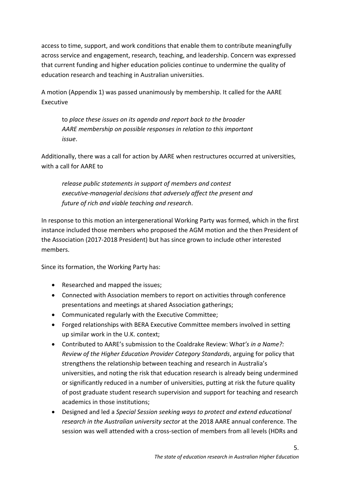access to time, support, and work conditions that enable them to contribute meaningfully across service and engagement, research, teaching, and leadership. Concern was expressed that current funding and higher education policies continue to undermine the quality of education research and teaching in Australian universities.

A motion (Appendix 1) was passed unanimously by membership. It called for the AARE Executive

to *place these issues on its agenda and report back to the broader AARE membership on possible responses in relation to this important issue*.

Additionally, there was a call for action by AARE when restructures occurred at universities, with a call for AARE to

*release public statements in support of members and contest executive-managerial decisions that adversely affect the present and future of rich and viable teaching and research*.

In response to this motion an intergenerational Working Party was formed, which in the first instance included those members who proposed the AGM motion and the then President of the Association (2017-2018 President) but has since grown to include other interested members.

Since its formation, the Working Party has:

- Researched and mapped the issues;
- Connected with Association members to report on activities through conference presentations and meetings at shared Association gatherings;
- Communicated regularly with the Executive Committee;
- Forged relationships with BERA Executive Committee members involved in setting up similar work in the U.K. context;
- Contributed to AARE's submission to the Coaldrake Review: W*hat's in a Name?: Review of the Higher Education Provider Category Standards*, arguing for policy that strengthens the relationship between teaching and research in Australia's universities, and noting the risk that education research is already being undermined or significantly reduced in a number of universities, putting at risk the future quality of post graduate student research supervision and support for teaching and research academics in those institutions;
- Designed and led a *Special Session seeking ways to protect and extend educational research in the Australian university sector* at the 2018 AARE annual conference. The session was well attended with a cross-section of members from all levels (HDRs and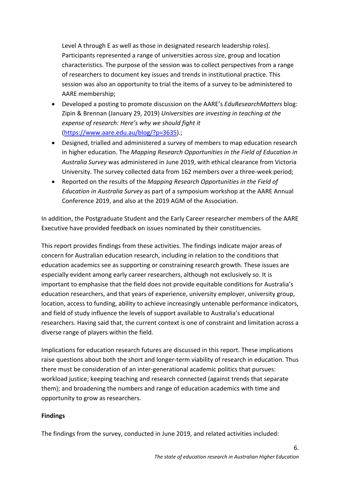Level A through E as well as those in designated research leadership roles). Participants represented a range of universities across size, group and location characteristics. The purpose of the session was to collect perspectives from a range of researchers to document key issues and trends in institutional practice. This session was also an opportunity to trial the items of a survey to be administered to AARE membership;

- Developed a posting to promote discussion on the AARE's *EduResearchMatters* blog: Zipin & Brennan (January 29, 2019) *Universities are investing in teaching at the expense of research: Here's why we should fight it* (https://www.aare.edu.au/blog/?p=3635).;
- Designed, trialled and administered a survey of members to map education research in higher education. The *Mapping Research Opportunities in the Field of Education in Australia Survey* was administered in June 2019, with ethical clearance from Victoria University. The survey collected data from 162 members over a three-week period;
- Reported on the results of the *Mapping Research Opportunities in the Field of Education in Australia Survey* as part of a symposium workshop at the AARE Annual Conference 2019, and also at the 2019 AGM of the Association.

In addition, the Postgraduate Student and the Early Career researcher members of the AARE Executive have provided feedback on issues nominated by their constituencies.

This report provides findings from these activities. The findings indicate major areas of concern for Australian education research, including in relation to the conditions that education academics see as supporting or constraining research growth. These issues are especially evident among early career researchers, although not exclusively so. It is important to emphasise that the field does not provide equitable conditions for Australia's education researchers, and that years of experience, university employer, university group, location, access to funding, ability to achieve increasingly untenable performance indicators, and field of study influence the levels of support available to Australia's educational researchers. Having said that, the current context is one of constraint and limitation across a diverse range of players within the field.

Implications for education research futures are discussed in this report. These implications raise questions about both the short and longer-term viability of research in education. Thus there must be consideration of an inter-generational academic politics that pursues: workload justice; keeping teaching and research connected (against trends that separate them); and broadening the numbers and range of education academics with time and opportunity to grow as researchers.

## **Findings**

The findings from the survey, conducted in June 2019, and related activities included: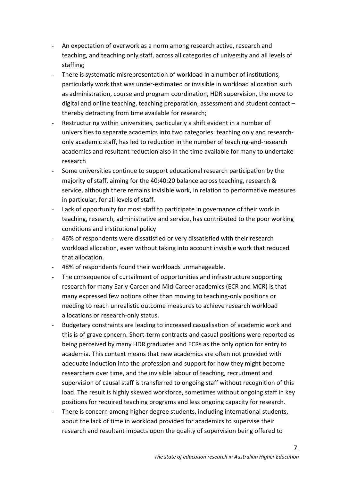- An expectation of overwork as a norm among research active, research and teaching, and teaching only staff, across all categories of university and all levels of staffing;
- There is systematic misrepresentation of workload in a number of institutions, particularly work that was under-estimated or invisible in workload allocation such as administration, course and program coordination, HDR supervision, the move to digital and online teaching, teaching preparation, assessment and student contact – thereby detracting from time available for research;
- Restructuring within universities, particularly a shift evident in a number of universities to separate academics into two categories: teaching only and researchonly academic staff, has led to reduction in the number of teaching-and-research academics and resultant reduction also in the time available for many to undertake research
- Some universities continue to support educational research participation by the majority of staff, aiming for the 40:40:20 balance across teaching, research & service, although there remains invisible work, in relation to performative measures in particular, for all levels of staff.
- Lack of opportunity for most staff to participate in governance of their work in teaching, research, administrative and service, has contributed to the poor working conditions and institutional policy
- 46% of respondents were dissatisfied or very dissatisfied with their research workload allocation, even without taking into account invisible work that reduced that allocation.
- 48% of respondents found their workloads unmanageable.
- The consequence of curtailment of opportunities and infrastructure supporting research for many Early-Career and Mid-Career academics (ECR and MCR) is that many expressed few options other than moving to teaching-only positions or needing to reach unrealistic outcome measures to achieve research workload allocations or research-only status.
- Budgetary constraints are leading to increased casualisation of academic work and this is of grave concern. Short-term contracts and casual positions were reported as being perceived by many HDR graduates and ECRs as the only option for entry to academia. This context means that new academics are often not provided with adequate induction into the profession and support for how they might become researchers over time, and the invisible labour of teaching, recruitment and supervision of causal staff is transferred to ongoing staff without recognition of this load. The result is highly skewed workforce, sometimes without ongoing staff in key positions for required teaching programs and less ongoing capacity for research.
- There is concern among higher degree students, including international students, about the lack of time in workload provided for academics to supervise their research and resultant impacts upon the quality of supervision being offered to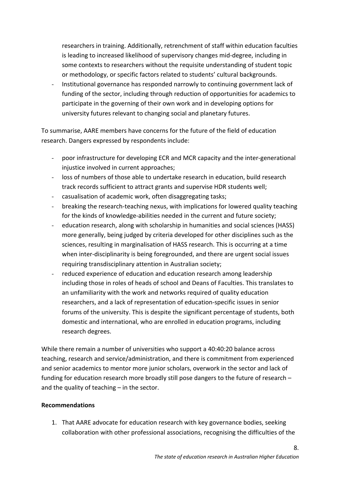researchers in training. Additionally, retrenchment of staff within education faculties is leading to increased likelihood of supervisory changes mid-degree, including in some contexts to researchers without the requisite understanding of student topic or methodology, or specific factors related to students' cultural backgrounds.

- Institutional governance has responded narrowly to continuing government lack of funding of the sector, including through reduction of opportunities for academics to participate in the governing of their own work and in developing options for university futures relevant to changing social and planetary futures.

To summarise, AARE members have concerns for the future of the field of education research. Dangers expressed by respondents include:

- poor infrastructure for developing ECR and MCR capacity and the inter-generational injustice involved in current approaches;
- loss of numbers of those able to undertake research in education, build research track records sufficient to attract grants and supervise HDR students well;
- casualisation of academic work, often disaggregating tasks;
- breaking the research-teaching nexus, with implications for lowered quality teaching for the kinds of knowledge-abilities needed in the current and future society;
- education research, along with scholarship in humanities and social sciences (HASS) more generally, being judged by criteria developed for other disciplines such as the sciences, resulting in marginalisation of HASS research. This is occurring at a time when inter-disciplinarity is being foregrounded, and there are urgent social issues requiring transdisciplinary attention in Australian society;
- reduced experience of education and education research among leadership including those in roles of heads of school and Deans of Faculties. This translates to an unfamiliarity with the work and networks required of quality education researchers, and a lack of representation of education-specific issues in senior forums of the university. This is despite the significant percentage of students, both domestic and international, who are enrolled in education programs, including research degrees.

While there remain a number of universities who support a 40:40:20 balance across teaching, research and service/administration, and there is commitment from experienced and senior academics to mentor more junior scholars, overwork in the sector and lack of funding for education research more broadly still pose dangers to the future of research – and the quality of teaching – in the sector.

## **Recommendations**

1. That AARE advocate for education research with key governance bodies, seeking collaboration with other professional associations, recognising the difficulties of the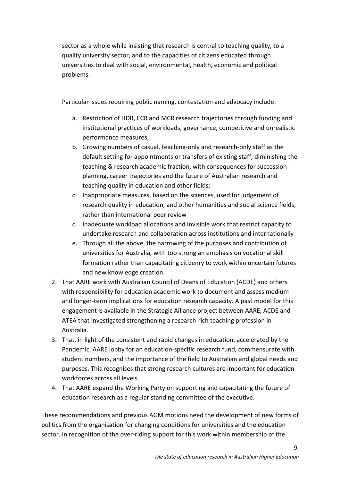sector as a whole while insisting that research is central to teaching quality, to a quality university sector, and to the capacities of citizens educated through universities to deal with social, environmental, health, economic and political problems.

## Particular issues requiring public naming, contestation and advocacy include:

- a. Restriction of HDR, ECR and MCR research trajectories through funding and institutional practices of workloads, governance, competitive and unrealistic performance measures;
- b. Growing numbers of casual, teaching-only and research-only staff as the default setting for appointments or transfers of existing staff, diminishing the teaching & research academic fraction, with consequences for successionplanning, career trajectories and the future of Australian research and teaching quality in education and other fields;
- c. Inappropriate measures, based on the sciences, used for judgement of research quality in education, and other humanities and social science fields, rather than international peer review
- d. Inadequate workload allocations and invisible work that restrict capacity to undertake research and collaboration across institutions and internationally
- e. Through all the above, the narrowing of the purposes and contribution of universities for Australia, with too strong an emphasis on vocational skill formation rather than capacitating citizenry to work within uncertain futures and new knowledge creation.
- 2. That AARE work with Australian Council of Deans of Education (ACDE) and others with responsibility for education academic work to document and assess medium and longer-term implications for education research capacity. A past model for this engagement is available in the Strategic Alliance project between AARE, ACDE and ATEA that investigated strengthening a research-rich teaching profession in Australia.
- 3. That, in light of the consistent and rapid changes in education, accelerated by the Pandemic, AARE lobby for an education-specific research fund, commensurate with student numbers, and the importance of the field to Australian and global needs and purposes. This recognises that strong research cultures are important for education workforces across all levels.
- 4. That AARE expand the Working Party on supporting and capacitating the future of education research as a regular standing committee of the executive.

These recommendations and previous AGM motions need the development of new forms of politics from the organisation for changing conditions for universities and the education sector. In recognition of the over-riding support for this work within membership of the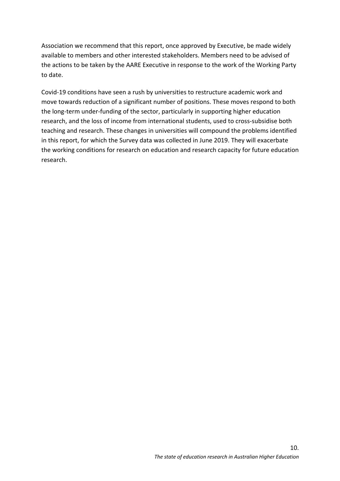Association we recommend that this report, once approved by Executive, be made widely available to members and other interested stakeholders. Members need to be advised of the actions to be taken by the AARE Executive in response to the work of the Working Party to date.

Covid-19 conditions have seen a rush by universities to restructure academic work and move towards reduction of a significant number of positions. These moves respond to both the long-term under-funding of the sector, particularly in supporting higher education research, and the loss of income from international students, used to cross-subsidise both teaching and research. These changes in universities will compound the problems identified in this report, for which the Survey data was collected in June 2019. They will exacerbate the working conditions for research on education and research capacity for future education research.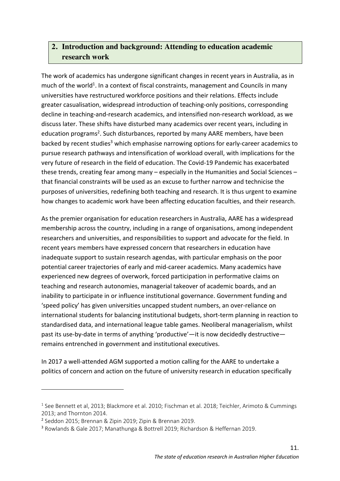# **2. Introduction and background: Attending to education academic research work**

The work of academics has undergone significant changes in recent years in Australia, as in much of the world<sup>1</sup>. In a context of fiscal constraints, management and Councils in many universities have restructured workforce positions and their relations. Effects include greater casualisation, widespread introduction of teaching-only positions, corresponding decline in teaching-and-research academics, and intensified non-research workload, as we discuss later. These shifts have disturbed many academics over recent years, including in education programs<sup>2</sup>. Such disturbances, reported by many AARE members, have been backed by recent studies<sup>3</sup> which emphasise narrowing options for early-career academics to pursue research pathways and intensification of workload overall, with implications for the very future of research in the field of education. The Covid-19 Pandemic has exacerbated these trends, creating fear among many – especially in the Humanities and Social Sciences – that financial constraints will be used as an excuse to further narrow and technicise the purposes of universities, redefining both teaching and research. It is thus urgent to examine how changes to academic work have been affecting education faculties, and their research.

As the premier organisation for education researchers in Australia, AARE has a widespread membership across the country, including in a range of organisations, among independent researchers and universities, and responsibilities to support and advocate for the field. In recent years members have expressed concern that researchers in education have inadequate support to sustain research agendas, with particular emphasis on the poor potential career trajectories of early and mid-career academics. Many academics have experienced new degrees of overwork, forced participation in performative claims on teaching and research autonomies, managerial takeover of academic boards, and an inability to participate in or influence institutional governance. Government funding and 'speed policy' has given universities uncapped student numbers, an over-reliance on international students for balancing institutional budgets, short-term planning in reaction to standardised data, and international league table games. Neoliberal managerialism, whilst past its use-by-date in terms of anything 'productive'—it is now decidedly destructive remains entrenched in government and institutional executives.

In 2017 a well-attended AGM supported a motion calling for the AARE to undertake a politics of concern and action on the future of university research in education specifically

 $\overline{a}$ 

<sup>&</sup>lt;sup>1</sup> See Bennett et al, 2013; Blackmore et al. 2010; Fischman et al. 2018; Teichler, Arimoto & Cummings 2013; and Thornton 2014.

<sup>2</sup> Seddon 2015; Brennan & Zipin 2019; Zipin & Brennan 2019.

<sup>3</sup> Rowlands & Gale 2017; Manathunga & Bottrell 2019; Richardson & Heffernan 2019.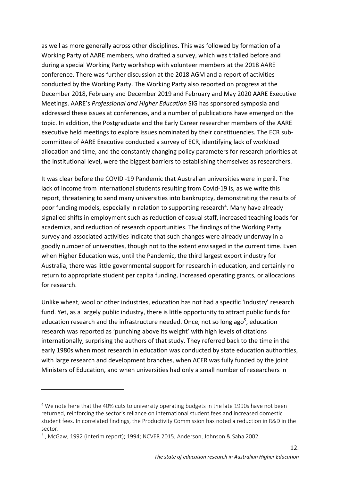as well as more generally across other disciplines. This was followed by formation of a Working Party of AARE members, who drafted a survey, which was trialled before and during a special Working Party workshop with volunteer members at the 2018 AARE conference. There was further discussion at the 2018 AGM and a report of activities conducted by the Working Party. The Working Party also reported on progress at the December 2018, February and December 2019 and February and May 2020 AARE Executive Meetings. AARE's *Professional and Higher Education* SIG has sponsored symposia and addressed these issues at conferences, and a number of publications have emerged on the topic. In addition, the Postgraduate and the Early Career researcher members of the AARE executive held meetings to explore issues nominated by their constituencies. The ECR subcommittee of AARE Executive conducted a survey of ECR, identifying lack of workload allocation and time, and the constantly changing policy parameters for research priorities at the institutional level, were the biggest barriers to establishing themselves as researchers.

It was clear before the COVID -19 Pandemic that Australian universities were in peril. The lack of income from international students resulting from Covid-19 is, as we write this report, threatening to send many universities into bankruptcy, demonstrating the results of poor funding models, especially in relation to supporting research<sup>4</sup>. Many have already signalled shifts in employment such as reduction of casual staff, increased teaching loads for academics, and reduction of research opportunities. The findings of the Working Party survey and associated activities indicate that such changes were already underway in a goodly number of universities, though not to the extent envisaged in the current time. Even when Higher Education was, until the Pandemic, the third largest export industry for Australia, there was little governmental support for research in education, and certainly no return to appropriate student per capita funding, increased operating grants, or allocations for research.

Unlike wheat, wool or other industries, education has not had a specific 'industry' research fund. Yet, as a largely public industry, there is little opportunity to attract public funds for education research and the infrastructure needed. Once, not so long ago<sup>5</sup>, education research was reported as 'punching above its weight' with high levels of citations internationally, surprising the authors of that study. They referred back to the time in the early 1980s when most research in education was conducted by state education authorities, with large research and development branches, when ACER was fully funded by the joint Ministers of Education, and when universities had only a small number of researchers in

 $\overline{a}$ 

<sup>&</sup>lt;sup>4</sup> We note here that the 40% cuts to university operating budgets in the late 1990s have not been returned, reinforcing the sector's reliance on international student fees and increased domestic student fees. In correlated findings, the Productivity Commission has noted a reduction in R&D in the sector.

<sup>5</sup> , McGaw, 1992 (interim report); 1994; NCVER 2015; Anderson, Johnson & Saha 2002.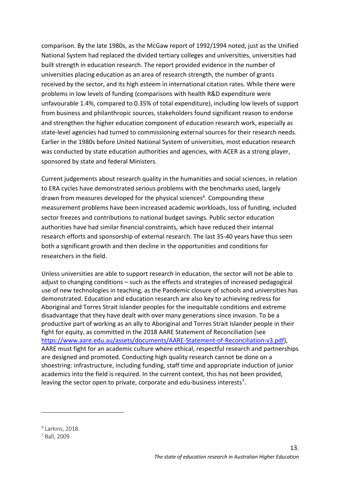comparison. By the late 1980s, as the McGaw report of 1992/1994 noted, just as the Unified National System had replaced the divided tertiary colleges and universities, universities had built strength in education research. The report provided evidence in the number of universities placing education as an area of research strength, the number of grants received by the sector, and its high esteem in international citation rates. While there were problems in low levels of funding (comparisons with health R&D expenditure were unfavourable 1.4%, compared to 0.35% of total expenditure), including low levels of support from business and philanthropic sources, stakeholders found significant reason to endorse and strengthen the higher education component of education research work, especially as state-level agencies had turned to commissioning external sources for their research needs. Earlier in the 1980s before United National System of universities, most education research was conducted by state education authorities and agencies, with ACER as a strong player, sponsored by state and federal Ministers.

Current judgements about research quality in the humanities and social sciences, in relation to ERA cycles have demonstrated serious problems with the benchmarks used, largely drawn from measures developed for the physical sciences<sup>6</sup>. Compounding these measurement problems have been increased academic workloads, loss of funding, included sector freezes and contributions to national budget savings. Public sector education authorities have had similar financial constraints, which have reduced their internal research efforts and sponsorship of external research. The last 35-40 years have thus seen both a significant growth and then decline in the opportunities and conditions for researchers in the field.

Unless universities are able to support research in education, the sector will not be able to adjust to changing conditions – such as the effects and strategies of increased pedagogical use of new technologies in teaching, as the Pandemic closure of schools and universities has demonstrated. Education and education research are also key to achieving redress for Aboriginal and Torres Strait Islander peoples for the inequitable conditions and extreme disadvantage that they have dealt with over many generations since invasion. To be a productive part of working as an ally to Aboriginal and Torres Strait Islander people in their fight for equity, as committed in the 2018 AARE Statement of Reconciliation (see https://www.aare.edu.au/assets/documents/AARE-Statement-of-Reconciliation-v3.pdf), AARE must fight for an academic culture where ethical, respectful research and partnerships are designed and promoted. Conducting high quality research cannot be done on a shoestring: infrastructure, including funding, staff time and appropriate induction of junior academics into the field is required. In the current context, this has not been provided, leaving the sector open to private, corporate and edu-business interests<sup>7</sup>.

 $6$  Larkins, 2018.

 $\overline{a}$ 

 $<sup>7</sup>$  Ball, 2009.</sup>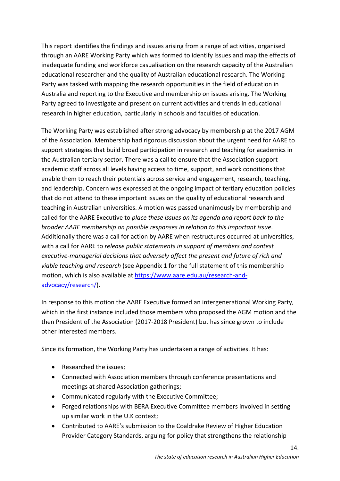This report identifies the findings and issues arising from a range of activities, organised through an AARE Working Party which was formed to identify issues and map the effects of inadequate funding and workforce casualisation on the research capacity of the Australian educational researcher and the quality of Australian educational research. The Working Party was tasked with mapping the research opportunities in the field of education in Australia and reporting to the Executive and membership on issues arising. The Working Party agreed to investigate and present on current activities and trends in educational research in higher education, particularly in schools and faculties of education.

The Working Party was established after strong advocacy by membership at the 2017 AGM of the Association. Membership had rigorous discussion about the urgent need for AARE to support strategies that build broad participation in research and teaching for academics in the Australian tertiary sector. There was a call to ensure that the Association support academic staff across all levels having access to time, support, and work conditions that enable them to reach their potentials across service and engagement, research, teaching, and leadership. Concern was expressed at the ongoing impact of tertiary education policies that do not attend to these important issues on the quality of educational research and teaching in Australian universities. A motion was passed unanimously by membership and called for the AARE Executive to *place these issues on its agenda and report back to the broader AARE membership on possible responses in relation to this important issue*. Additionally there was a call for action by AARE when restructures occurred at universities, with a call for AARE to *release public statements in support of members and contest executive-managerial decisions that adversely affect the present and future of rich and viable teaching and research* (see Appendix 1 for the full statement of this membership motion, which is also available at https://www.aare.edu.au/research-andadvocacy/research/).

In response to this motion the AARE Executive formed an intergenerational Working Party, which in the first instance included those members who proposed the AGM motion and the then President of the Association (2017-2018 President) but has since grown to include other interested members.

Since its formation, the Working Party has undertaken a range of activities. It has:

- Researched the issues;
- Connected with Association members through conference presentations and meetings at shared Association gatherings;
- Communicated regularly with the Executive Committee;
- Forged relationships with BERA Executive Committee members involved in setting up similar work in the U.K context;
- Contributed to AARE's submission to the Coaldrake Review of Higher Education Provider Category Standards, arguing for policy that strengthens the relationship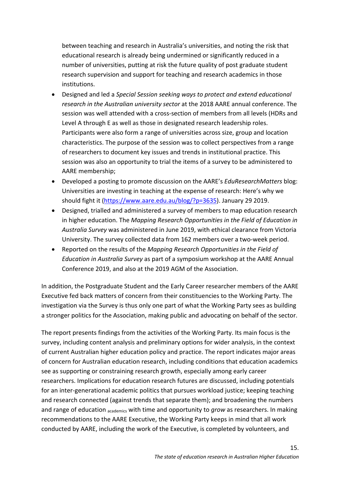between teaching and research in Australia's universities, and noting the risk that educational research is already being undermined or significantly reduced in a number of universities, putting at risk the future quality of post graduate student research supervision and support for teaching and research academics in those institutions.

- Designed and led a *Special Session seeking ways to protect and extend educational research in the Australian university sector* at the 2018 AARE annual conference. The session was well attended with a cross-section of members from all levels (HDRs and Level A through E as well as those in designated research leadership roles. Participants were also form a range of universities across size, group and location characteristics. The purpose of the session was to collect perspectives from a range of researchers to document key issues and trends in institutional practice. This session was also an opportunity to trial the items of a survey to be administered to AARE membership;
- Developed a posting to promote discussion on the AARE's *EduResearchMatters* blog: Universities are investing in teaching at the expense of research: Here's why we should fight it (https://www.aare.edu.au/blog/?p=3635). January 29 2019.
- Designed, trialled and administered a survey of members to map education research in higher education. The *Mapping Research Opportunities in the Field of Education in Australia Survey* was administered in June 2019, with ethical clearance from Victoria University. The survey collected data from 162 members over a two-week period.
- Reported on the results of the *Mapping Research Opportunities in the Field of Education in Australia Survey* as part of a symposium workshop at the AARE Annual Conference 2019, and also at the 2019 AGM of the Association.

In addition, the Postgraduate Student and the Early Career researcher members of the AARE Executive fed back matters of concern from their constituencies to the Working Party. The investigation via the Survey is thus only one part of what the Working Party sees as building a stronger politics for the Association, making public and advocating on behalf of the sector.

The report presents findings from the activities of the Working Party. Its main focus is the survey, including content analysis and preliminary options for wider analysis, in the context of current Australian higher education policy and practice. The report indicates major areas of concern for Australian education research, including conditions that education academics see as supporting or constraining research growth, especially among early career researchers. Implications for education research futures are discussed, including potentials for an inter-generational academic politics that pursues workload justice; keeping teaching and research connected (against trends that separate them); and broadening the numbers and range of education academics with time and opportunity to *grow* as researchers. In making recommendations to the AARE Executive, the Working Party keeps in mind that all work conducted by AARE, including the work of the Executive, is completed by volunteers, and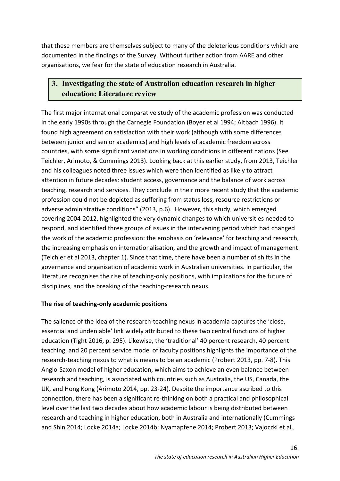that these members are themselves subject to many of the deleterious conditions which are documented in the findings of the Survey. Without further action from AARE and other organisations, we fear for the state of education research in Australia.

## **3. Investigating the state of Australian education research in higher education: Literature review**

The first major international comparative study of the academic profession was conducted in the early 1990s through the Carnegie Foundation (Boyer et al 1994; Altbach 1996). It found high agreement on satisfaction with their work (although with some differences between junior and senior academics) and high levels of academic freedom across countries, with some significant variations in working conditions in different nations (See Teichler, Arimoto, & Cummings 2013). Looking back at this earlier study, from 2013, Teichler and his colleagues noted three issues which were then identified as likely to attract attention in future decades: student access, governance and the balance of work across teaching, research and services. They conclude in their more recent study that the academic profession could not be depicted as suffering from status loss, resource restrictions or adverse administrative conditions" (2013, p.6). However, this study, which emerged covering 2004-2012, highlighted the very dynamic changes to which universities needed to respond, and identified three groups of issues in the intervening period which had changed the work of the academic profession: the emphasis on 'relevance' for teaching and research, the increasing emphasis on internationalisation, and the growth and impact of management (Teichler et al 2013, chapter 1). Since that time, there have been a number of shifts in the governance and organisation of academic work in Australian universities. In particular, the literature recognises the rise of teaching-only positions, with implications for the future of disciplines, and the breaking of the teaching-research nexus.

#### **The rise of teaching-only academic positions**

The salience of the idea of the research-teaching nexus in academia captures the 'close, essential and undeniable' link widely attributed to these two central functions of higher education (Tight 2016, p. 295). Likewise, the 'traditional' 40 percent research, 40 percent teaching, and 20 percent service model of faculty positions highlights the importance of the research-teaching nexus to what is means to be an academic (Probert 2013, pp. 7-8). This Anglo-Saxon model of higher education, which aims to achieve an even balance between research and teaching, is associated with countries such as Australia, the US, Canada, the UK, and Hong Kong (Arimoto 2014, pp. 23-24). Despite the importance ascribed to this connection, there has been a significant re-thinking on both a practical and philosophical level over the last two decades about how academic labour is being distributed between research and teaching in higher education, both in Australia and internationally (Cummings and Shin 2014; Locke 2014a; Locke 2014b; Nyamapfene 2014; Probert 2013; Vajoczki et al.,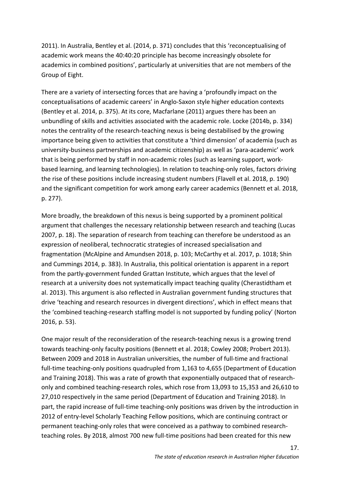2011). In Australia, Bentley et al. (2014, p. 371) concludes that this 'reconceptualising of academic work means the 40:40:20 principle has become increasingly obsolete for academics in combined positions', particularly at universities that are not members of the Group of Eight.

There are a variety of intersecting forces that are having a 'profoundly impact on the conceptualisations of academic careers' in Anglo-Saxon style higher education contexts (Bentley et al. 2014, p. 375). At its core, Macfarlane (2011) argues there has been an unbundling of skills and activities associated with the academic role. Locke (2014b, p. 334) notes the centrality of the research-teaching nexus is being destabilised by the growing importance being given to activities that constitute a 'third dimension' of academia (such as university-business partnerships and academic citizenship) as well as 'para-academic' work that is being performed by staff in non-academic roles (such as learning support, workbased learning, and learning technologies). In relation to teaching-only roles, factors driving the rise of these positions include increasing student numbers (Flavell et al. 2018, p. 190) and the significant competition for work among early career academics (Bennett et al. 2018, p. 277).

More broadly, the breakdown of this nexus is being supported by a prominent political argument that challenges the necessary relationship between research and teaching (Lucas 2007, p. 18). The separation of research from teaching can therefore be understood as an expression of neoliberal, technocratic strategies of increased specialisation and fragmentation (McAlpine and Amundsen 2018, p. 103; McCarthy et al. 2017, p. 1018; Shin and Cummings 2014, p. 383). In Australia, this political orientation is apparent in a report from the partly-government funded Grattan Institute, which argues that the level of research at a university does not systematically impact teaching quality (Cherastidtham et al. 2013). This argument is also reflected in Australian government funding structures that drive 'teaching and research resources in divergent directions', which in effect means that the 'combined teaching-research staffing model is not supported by funding policy' (Norton 2016, p. 53).

One major result of the reconsideration of the research-teaching nexus is a growing trend towards teaching-only faculty positions (Bennett et al. 2018; Cowley 2008; Probert 2013). Between 2009 and 2018 in Australian universities, the number of full-time and fractional full-time teaching-only positions quadrupled from 1,163 to 4,655 (Department of Education and Training 2018). This was a rate of growth that exponentially outpaced that of researchonly and combined teaching-research roles, which rose from 13,093 to 15,353 and 26,610 to 27,010 respectively in the same period (Department of Education and Training 2018). In part, the rapid increase of full-time teaching-only positions was driven by the introduction in 2012 of entry-level Scholarly Teaching Fellow positions, which are continuing contract or permanent teaching-only roles that were conceived as a pathway to combined researchteaching roles. By 2018, almost 700 new full-time positions had been created for this new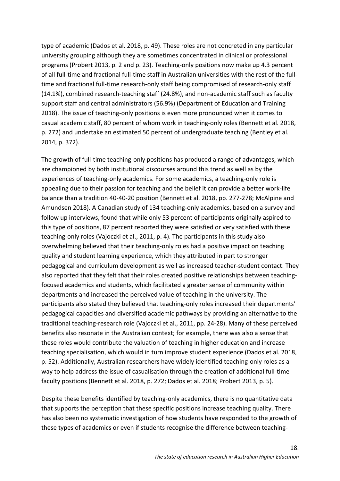type of academic (Dados et al. 2018, p. 49). These roles are not concreted in any particular university grouping although they are sometimes concentrated in clinical or professional programs (Probert 2013, p. 2 and p. 23). Teaching-only positions now make up 4.3 percent of all full-time and fractional full-time staff in Australian universities with the rest of the fulltime and fractional full-time research-only staff being compromised of research-only staff (14.1%), combined research-teaching staff (24.8%), and non-academic staff such as faculty support staff and central administrators (56.9%) (Department of Education and Training 2018). The issue of teaching-only positions is even more pronounced when it comes to casual academic staff, 80 percent of whom work in teaching-only roles (Bennett et al. 2018, p. 272) and undertake an estimated 50 percent of undergraduate teaching (Bentley et al. 2014, p. 372).

The growth of full-time teaching-only positions has produced a range of advantages, which are championed by both institutional discourses around this trend as well as by the experiences of teaching-only academics. For some academics, a teaching-only role is appealing due to their passion for teaching and the belief it can provide a better work-life balance than a tradition 40-40-20 position (Bennett et al. 2018, pp. 277-278; McAlpine and Amundsen 2018). A Canadian study of 134 teaching-only academics, based on a survey and follow up interviews, found that while only 53 percent of participants originally aspired to this type of positions, 87 percent reported they were satisfied or very satisfied with these teaching-only roles (Vajoczki et al., 2011, p. 4). The participants in this study also overwhelming believed that their teaching-only roles had a positive impact on teaching quality and student learning experience, which they attributed in part to stronger pedagogical and curriculum development as well as increased teacher-student contact. They also reported that they felt that their roles created positive relationships between teachingfocused academics and students, which facilitated a greater sense of community within departments and increased the perceived value of teaching in the university. The participants also stated they believed that teaching-only roles increased their departments' pedagogical capacities and diversified academic pathways by providing an alternative to the traditional teaching-research role (Vajoczki et al., 2011, pp. 24-28). Many of these perceived benefits also resonate in the Australian context; for example, there was also a sense that these roles would contribute the valuation of teaching in higher education and increase teaching specialisation, which would in turn improve student experience (Dados et al. 2018, p. 52). Additionally, Australian researchers have widely identified teaching-only roles as a way to help address the issue of casualisation through the creation of additional full-time faculty positions (Bennett et al. 2018, p. 272; Dados et al. 2018; Probert 2013, p. 5).

Despite these benefits identified by teaching-only academics, there is no quantitative data that supports the perception that these specific positions increase teaching quality. There has also been no systematic investigation of how students have responded to the growth of these types of academics or even if students recognise the difference between teaching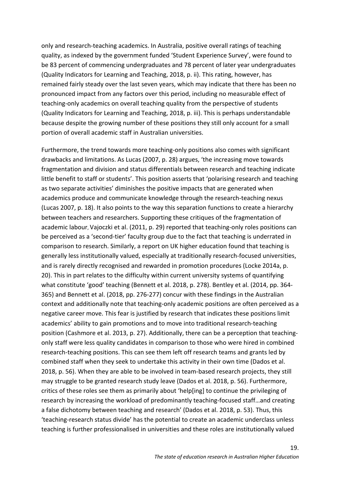only and research-teaching academics. In Australia, positive overall ratings of teaching quality, as indexed by the government funded 'Student Experience Survey', were found to be 83 percent of commencing undergraduates and 78 percent of later year undergraduates (Quality Indicators for Learning and Teaching, 2018, p. ii). This rating, however, has remained fairly steady over the last seven years, which may indicate that there has been no pronounced impact from any factors over this period, including no measurable effect of teaching-only academics on overall teaching quality from the perspective of students (Quality Indicators for Learning and Teaching, 2018, p. iii). This is perhaps understandable because despite the growing number of these positions they still only account for a small portion of overall academic staff in Australian universities.

Furthermore, the trend towards more teaching-only positions also comes with significant drawbacks and limitations. As Lucas (2007, p. 28) argues, 'the increasing move towards fragmentation and division and status differentials between research and teaching indicate little benefit to staff or students'. This position asserts that 'polarising research and teaching as two separate activities' diminishes the positive impacts that are generated when academics produce and communicate knowledge through the research-teaching nexus (Lucas 2007, p. 18). It also points to the way this separation functions to create a hierarchy between teachers and researchers. Supporting these critiques of the fragmentation of academic labour, Vajoczki et al. (2011, p. 29) reported that teaching-only roles positions can be perceived as a 'second-tier' faculty group due to the fact that teaching is underrated in comparison to research. Similarly, a report on UK higher education found that teaching is generally less institutionally valued, especially at traditionally research-focused universities, and is rarely directly recognised and rewarded in promotion procedures (Locke 2014a, p. 20). This in part relates to the difficulty within current university systems of quantifying what constitute 'good' teaching (Bennett et al. 2018, p. 278). Bentley et al. (2014, pp. 364- 365) and Bennett et al. (2018, pp. 276-277) concur with these findings in the Australian context and additionally note that teaching-only academic positions are often perceived as a negative career move. This fear is justified by research that indicates these positions limit academics' ability to gain promotions and to move into traditional research-teaching position (Cashmore et al. 2013, p. 27). Additionally, there can be a perception that teachingonly staff were less quality candidates in comparison to those who were hired in combined research-teaching positions. This can see them left off research teams and grants led by combined staff when they seek to undertake this activity in their own time (Dados et al. 2018, p. 56). When they are able to be involved in team-based research projects, they still may struggle to be granted research study leave (Dados et al. 2018, p. 56). Furthermore, critics of these roles see them as primarily about 'help[ing] to continue the privileging of research by increasing the workload of predominantly teaching-focused staff…and creating a false dichotomy between teaching and research' (Dados et al. 2018, p. 53). Thus, this 'teaching-research status divide' has the potential to create an academic underclass unless teaching is further professionalised in universities and these roles are institutionally valued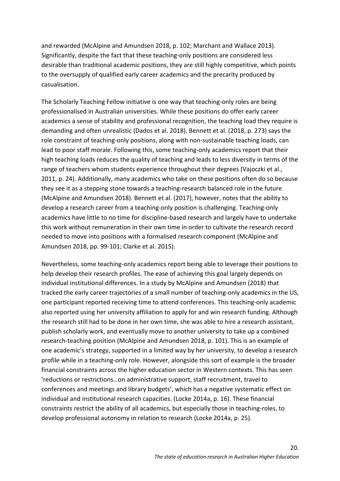and rewarded (McAlpine and Amundsen 2018, p. 102; Marchant and Wallace 2013). Significantly, despite the fact that these teaching-only positions are considered less desirable than traditional academic positions, they are still highly competitive, which points to the oversupply of qualified early career academics and the precarity produced by casualisation.

The Scholarly Teaching Fellow initiative is one way that teaching-only roles are being professionalised in Australian universities. While these positions do offer early career academics a sense of stability and professional recognition, the teaching load they require is demanding and often unrealistic (Dados et al. 2018). Bennett et al. (2018, p. 273) says the role constraint of teaching-only positions, along with non-sustainable teaching loads, can lead to poor staff morale. Following this, some teaching-only academics report that their high teaching loads reduces the quality of teaching and leads to less diversity in terms of the range of teachers whom students experience throughout their degrees (Vajoczki et al., 2011, p. 24). Additionally, many academics who take on these positions often do so because they see it as a stepping stone towards a teaching-research balanced role in the future (McAlpine and Amundsen 2018). Bennett et al. (2017), however, notes that the ability to develop a research career from a teaching-only position is challenging. Teaching-only academics have little to no time for discipline-based research and largely have to undertake this work without remuneration in their own time in order to cultivate the research record needed to move into positions with a formalised research component (McAlpine and Amundsen 2018, pp. 99-101; Clarke et al. 2015).

Nevertheless, some teaching-only academics report being able to leverage their positions to help develop their research profiles. The ease of achieving this goal largely depends on individual institutional differences. In a study by McAlpine and Amundsen (2018) that tracked the early career trajectories of a small number of teaching-only academics in the US, one participant reported receiving time to attend conferences. This teaching-only academic also reported using her university affiliation to apply for and win research funding. Although the research still had to be done in her own time, she was able to hire a research assistant, publish scholarly work, and eventually move to another university to take up a combined research-teaching position (McAlpine and Amundsen 2018, p. 101). This is an example of one academic's strategy, supported in a limited way by her university, to develop a research profile while in a teaching-only role. However, alongside this sort of example is the broader financial constraints across the higher education sector in Western contexts. This has seen 'reductions or restrictions…on administrative support, staff recruitment, travel to conferences and meetings and library budgets', which has a negative systematic effect on individual and institutional research capacities. (Locke 2014a, p. 16). These financial constraints restrict the ability of all academics, but especially those in teaching-roles, to develop professional autonomy in relation to research (Locke 2014a, p. 25).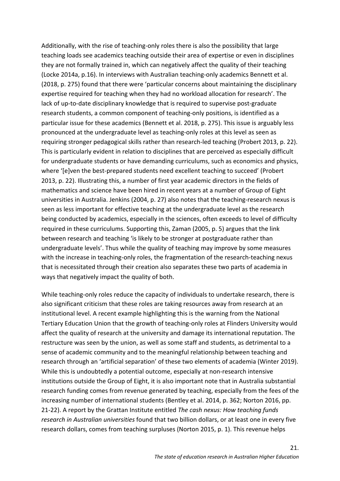Additionally, with the rise of teaching-only roles there is also the possibility that large teaching loads see academics teaching outside their area of expertise or even in disciplines they are not formally trained in, which can negatively affect the quality of their teaching (Locke 2014a, p.16). In interviews with Australian teaching-only academics Bennett et al. (2018, p. 275) found that there were 'particular concerns about maintaining the disciplinary expertise required for teaching when they had no workload allocation for research'. The lack of up-to-date disciplinary knowledge that is required to supervise post-graduate research students, a common component of teaching-only positions, is identified as a particular issue for these academics (Bennett et al. 2018, p. 275). This issue is arguably less pronounced at the undergraduate level as teaching-only roles at this level as seen as requiring stronger pedagogical skills rather than research-led teaching (Probert 2013, p. 22). This is particularly evident in relation to disciplines that are perceived as especially difficult for undergraduate students or have demanding curriculums, such as economics and physics, where '[e]ven the best-prepared students need excellent teaching to succeed' (Probert 2013, p. 22). Illustrating this, a number of first year academic directors in the fields of mathematics and science have been hired in recent years at a number of Group of Eight universities in Australia. Jenkins (2004, p. 27) also notes that the teaching-research nexus is seen as less important for effective teaching at the undergraduate level as the research being conducted by academics, especially in the sciences, often exceeds to level of difficulty required in these curriculums. Supporting this, Zaman (2005, p. 5) argues that the link between research and teaching 'is likely to be stronger at postgraduate rather than undergraduate levels'. Thus while the quality of teaching may improve by some measures with the increase in teaching-only roles, the fragmentation of the research-teaching nexus that is necessitated through their creation also separates these two parts of academia in ways that negatively impact the quality of both.

While teaching-only roles reduce the capacity of individuals to undertake research, there is also significant criticism that these roles are taking resources away from research at an institutional level. A recent example highlighting this is the warning from the National Tertiary Education Union that the growth of teaching-only roles at Flinders University would affect the quality of research at the university and damage its international reputation. The restructure was seen by the union, as well as some staff and students, as detrimental to a sense of academic community and to the meaningful relationship between teaching and research through an 'artificial separation' of these two elements of academia (Winter 2019). While this is undoubtedly a potential outcome, especially at non-research intensive institutions outside the Group of Eight, it is also important note that in Australia substantial research funding comes from revenue generated by teaching, especially from the fees of the increasing number of international students (Bentley et al. 2014, p. 362; Norton 2016, pp. 21-22). A report by the Grattan Institute entitled *The cash nexus: How teaching funds research in Australian universities* found that two billion dollars, or at least one in every five research dollars, comes from teaching surpluses (Norton 2015, p. 1). This revenue helps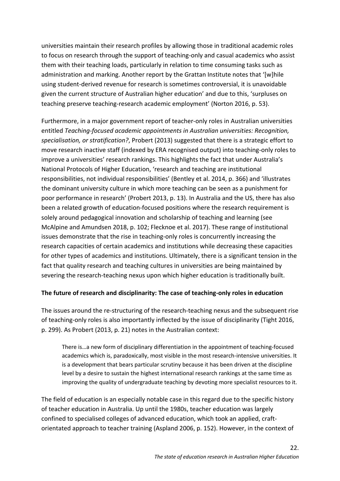universities maintain their research profiles by allowing those in traditional academic roles to focus on research through the support of teaching-only and casual academics who assist them with their teaching loads, particularly in relation to time consuming tasks such as administration and marking. Another report by the Grattan Institute notes that '[w]hile using student-derived revenue for research is sometimes controversial, it is unavoidable given the current structure of Australian higher education' and due to this, 'surpluses on teaching preserve teaching-research academic employment' (Norton 2016, p. 53).

Furthermore, in a major government report of teacher-only roles in Australian universities entitled *Teaching-focused academic appointments in Australian universities: Recognition, specialisation, or stratification?*, Probert (2013) suggested that there is a strategic effort to move research inactive staff (indexed by ERA recognised output) into teaching-only roles to improve a universities' research rankings. This highlights the fact that under Australia's National Protocols of Higher Education, 'research and teaching are institutional responsibilities, not individual responsibilities' (Bentley et al. 2014, p. 366) and 'illustrates the dominant university culture in which more teaching can be seen as a punishment for poor performance in research' (Probert 2013, p. 13). In Australia and the US, there has also been a related growth of education-focused positions where the research requirement is solely around pedagogical innovation and scholarship of teaching and learning (see McAlpine and Amundsen 2018, p. 102; Flecknoe et al. 2017). These range of institutional issues demonstrate that the rise in teaching-only roles is concurrently increasing the research capacities of certain academics and institutions while decreasing these capacities for other types of academics and institutions. Ultimately, there is a significant tension in the fact that quality research and teaching cultures in universities are being maintained by severing the research-teaching nexus upon which higher education is traditionally built.

#### **The future of research and disciplinarity: The case of teaching-only roles in education**

The issues around the re-structuring of the research-teaching nexus and the subsequent rise of teaching-only roles is also importantly inflected by the issue of disciplinarity (Tight 2016, p. 299). As Probert (2013, p. 21) notes in the Australian context:

There is…a new form of disciplinary differentiation in the appointment of teaching-focused academics which is, paradoxically, most visible in the most research-intensive universities. It is a development that bears particular scrutiny because it has been driven at the discipline level by a desire to sustain the highest international research rankings at the same time as improving the quality of undergraduate teaching by devoting more specialist resources to it.

The field of education is an especially notable case in this regard due to the specific history of teacher education in Australia. Up until the 1980s, teacher education was largely confined to specialised colleges of advanced education, which took an applied, craftorientated approach to teacher training (Aspland 2006, p. 152). However, in the context of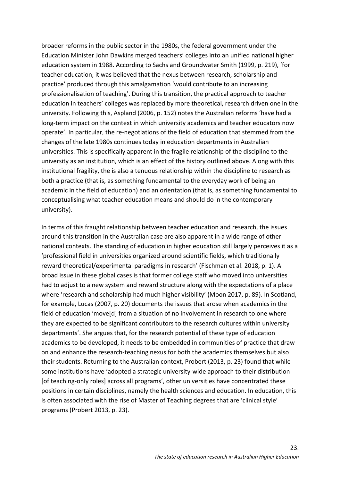broader reforms in the public sector in the 1980s, the federal government under the Education Minister John Dawkins merged teachers' colleges into an unified national higher education system in 1988. According to Sachs and Groundwater Smith (1999, p. 219), 'for teacher education, it was believed that the nexus between research, scholarship and practice' produced through this amalgamation 'would contribute to an increasing professionalisation of teaching'. During this transition, the practical approach to teacher education in teachers' colleges was replaced by more theoretical, research driven one in the university. Following this, Aspland (2006, p. 152) notes the Australian reforms 'have had a long-term impact on the context in which university academics and teacher educators now operate'. In particular, the re-negotiations of the field of education that stemmed from the changes of the late 1980s continues today in education departments in Australian universities. This is specifically apparent in the fragile relationship of the discipline to the university as an institution, which is an effect of the history outlined above. Along with this institutional fragility, the is also a tenuous relationship within the discipline to research as both a practice (that is, as something fundamental to the everyday work of being an academic in the field of education) and an orientation (that is, as something fundamental to conceptualising what teacher education means and should do in the contemporary university).

In terms of this fraught relationship between teacher education and research, the issues around this transition in the Australian case are also apparent in a wide range of other national contexts. The standing of education in higher education still largely perceives it as a 'professional field in universities organized around scientific fields, which traditionally reward theoretical/experimental paradigms in research' (Fischman et al. 2018, p. 1). A broad issue in these global cases is that former college staff who moved into universities had to adjust to a new system and reward structure along with the expectations of a place where 'research and scholarship had much higher visibility' (Moon 2017, p. 89). In Scotland, for example, Lucas (2007, p. 20) documents the issues that arose when academics in the field of education 'move[d] from a situation of no involvement in research to one where they are expected to be significant contributors to the research cultures within university departments'. She argues that, for the research potential of these type of education academics to be developed, it needs to be embedded in communities of practice that draw on and enhance the research-teaching nexus for both the academics themselves but also their students. Returning to the Australian context, Probert (2013, p. 23) found that while some institutions have 'adopted a strategic university-wide approach to their distribution [of teaching-only roles] across all programs', other universities have concentrated these positions in certain disciplines, namely the health sciences and education. In education, this is often associated with the rise of Master of Teaching degrees that are 'clinical style' programs (Probert 2013, p. 23).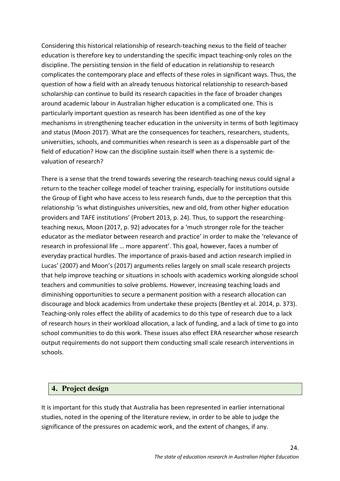Considering this historical relationship of research-teaching nexus to the field of teacher education is therefore key to understanding the specific impact teaching-only roles on the discipline. The persisting tension in the field of education in relationship to research complicates the contemporary place and effects of these roles in significant ways. Thus, the question of how a field with an already tenuous historical relationship to research-based scholarship can continue to build its research capacities in the face of broader changes around academic labour in Australian higher education is a complicated one. This is particularly important question as research has been identified as one of the key mechanisms in strengthening teacher education in the university in terms of both legitimacy and status (Moon 2017). What are the consequences for teachers, researchers, students, universities, schools, and communities when research is seen as a dispensable part of the field of education? How can the discipline sustain itself when there is a systemic devaluation of research?

There is a sense that the trend towards severing the research-teaching nexus could signal a return to the teacher college model of teacher training, especially for institutions outside the Group of Eight who have access to less research funds, due to the perception that this relationship 'is what distinguishes universities, new and old, from other higher education providers and TAFE institutions' (Probert 2013, p. 24). Thus, to support the researchingteaching nexus, Moon (2017, p. 92) advocates for a 'much stronger role for the teacher educator as the mediator between research and practice' in order to make the 'relevance of research in professional life … more apparent'. This goal, however, faces a number of everyday practical hurdles. The importance of praxis-based and action research implied in Lucas' (2007) and Moon's (2017) arguments relies largely on small scale research projects that help improve teaching or situations in schools with academics working alongside school teachers and communities to solve problems. However, increasing teaching loads and diminishing opportunities to secure a permanent position with a research allocation can discourage and block academics from undertake these projects (Bentley et al. 2014, p. 373). Teaching-only roles effect the ability of academics to do this type of research due to a lack of research hours in their workload allocation, a lack of funding, and a lack of time to go into school communities to do this work. These issues also effect ERA researcher whose research output requirements do not support them conducting small scale research interventions in schools.

## **4. Project design**

It is important for this study that Australia has been represented in earlier international studies, noted in the opening of the literature review, in order to be able to judge the significance of the pressures on academic work, and the extent of changes, if any.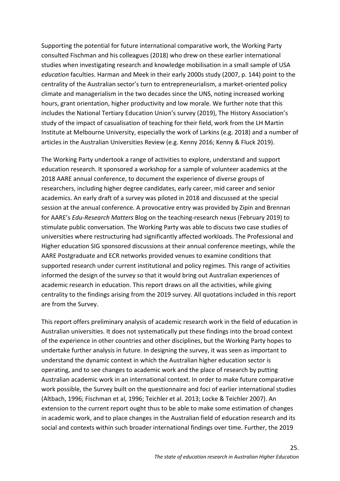Supporting the potential for future international comparative work, the Working Party consulted Fischman and his colleagues (2018) who drew on these earlier international studies when investigating research and knowledge mobilisation in a small sample of USA *education* faculties. Harman and Meek in their early 2000s study (2007, p. 144) point to the centrality of the Australian sector's turn to entrepreneurialism, a market-oriented policy climate and managerialism in the two decades since the UNS, noting increased working hours, grant orientation, higher productivity and low morale. We further note that this includes the National Tertiary Education Union's survey (2019), The History Association's study of the impact of casualisation of teaching for their field, work from the LH Martin Institute at Melbourne University, especially the work of Larkins (e.g. 2018) and a number of articles in the Australian Universities Review (e.g. Kenny 2016; Kenny & Fluck 2019).

The Working Party undertook a range of activities to explore, understand and support education research. It sponsored a workshop for a sample of volunteer academics at the 2018 AARE annual conference, to document the experience of diverse groups of researchers, including higher degree candidates, early career, mid career and senior academics. An early draft of a survey was piloted in 2018 and discussed at the special session at the annual conference. A provocative entry was provided by Zipin and Brennan for AARE's *Edu-Research Matters* Blog on the teaching-research nexus (February 2019) to stimulate public conversation. The Working Party was able to discuss two case studies of universities where restructuring had significantly affected workloads. The Professional and Higher education SIG sponsored discussions at their annual conference meetings, while the AARE Postgraduate and ECR networks provided venues to examine conditions that supported research under current institutional and policy regimes. This range of activities informed the design of the survey so that it would bring out Australian experiences of academic research in education. This report draws on all the activities, while giving centrality to the findings arising from the 2019 survey. All quotations included in this report are from the Survey.

This report offers preliminary analysis of academic research work in the field of education in Australian universities. It does not systematically put these findings into the broad context of the experience in other countries and other disciplines, but the Working Party hopes to undertake further analysis in future. In designing the survey, it was seen as important to understand the dynamic context in which the Australian higher education sector is operating, and to see changes to academic work and the place of research by putting Australian academic work in an international context. In order to make future comparative work possible, the Survey built on the questionnaire and foci of earlier international studies (Altbach, 1996; Fischman et al, 1996; Teichler et al. 2013; Locke & Teichler 2007). An extension to the current report ought thus to be able to make some estimation of changes in academic work, and to place changes in the Australian field of education research and its social and contexts within such broader international findings over time. Further, the 2019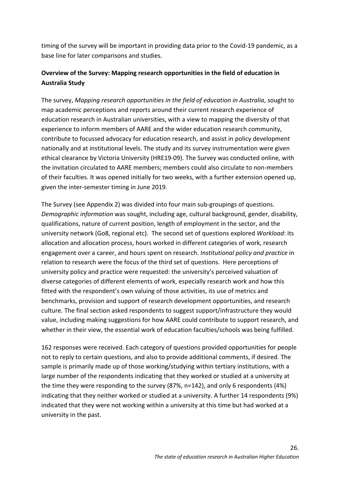timing of the survey will be important in providing data prior to the Covid-19 pandemic, as a base line for later comparisons and studies.

## **Overview of the Survey: Mapping research opportunities in the field of education in Australia Study**

The survey, *Mapping research opportunities in the field of education in Australia*, sought to map academic perceptions and reports around their current research experience of education research in Australian universities, with a view to mapping the diversity of that experience to inform members of AARE and the wider education research community, contribute to focussed advocacy for education research, and assist in policy development nationally and at institutional levels. The study and its survey instrumentation were given ethical clearance by Victoria University (HRE19-09). The Survey was conducted online, with the invitation circulated to AARE members; members could also circulate to non-members of their faculties. It was opened initially for two weeks, with a further extension opened up, given the inter-semester timing in June 2019.

The Survey (see Appendix 2) was divided into four main sub-groupings of questions. *Demographic information* was sought, including age, cultural background, gender, disability, qualifications, nature of current position, length of employment in the sector, and the university network (Go8, regional etc). The second set of questions explored *Workload*: its allocation and allocation process, hours worked in different categories of work, research engagement over a career, and hours spent on research. *Institutional policy and practice* in relation to research were the focus of the third set of questions. Here perceptions of university policy and practice were requested: the university's perceived valuation of diverse categories of different elements of work, especially research work and how this fitted with the respondent's own valuing of those activities, its use of metrics and benchmarks, provision and support of research development opportunities, and research culture. The final section asked respondents to suggest support/infrastructure they would value, including making suggestions for how AARE could contribute to support research, and whether in their view, the essential work of education faculties/schools was being fulfilled.

162 responses were received. Each category of questions provided opportunities for people not to reply to certain questions, and also to provide additional comments, if desired. The sample is primarily made up of those working/studying within tertiary institutions, with a large number of the respondents indicating that they worked or studied at a university at the time they were responding to the survey (87%, n=142), and only 6 respondents (4%) indicating that they neither worked or studied at a university. A further 14 respondents (9%) indicated that they were not working within a university at this time but had worked at a university in the past.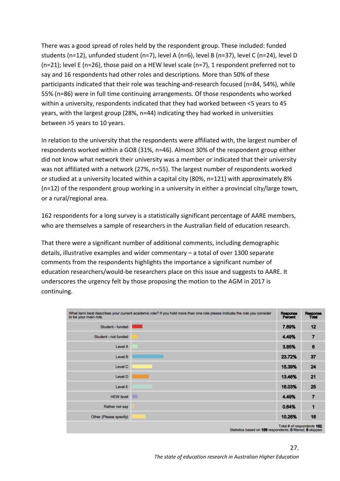There was a good spread of roles held by the respondent group. These included: funded students (n=12), unfunded student (n=7), level A (n=6), level B (n=37), level C (n=24), level D (n=21); level E (n=26), those paid on a HEW level scale (n=7), 1 respondent preferred not to say and 16 respondents had other roles and descriptions. More than 50% of these participants indicated that their role was teaching-and-research focused (n=84, 54%), while 55% (n=86) were in full time continuing arrangements. Of those respondents who worked within a university, respondents indicated that they had worked between <5 years to 45 years, with the largest group (28%, n=44) indicating they had worked in universities between >5 years to 10 years.

In relation to the university that the respondents were affiliated with, the largest number of respondents worked within a GO8 (31%, n=46). Almost 30% of the respondent group either did not know what network their university was a member or indicated that their university was not affiliated with a network (27%, n=55). The largest number of respondents worked or studied at a university located within a capital city (80%, n=121) with approximately 8% (n=12) of the respondent group working in a university in either a provincial city/large town, or a rural/regional area.

162 respondents for a long survey is a statistically significant percentage of AARE members, who are themselves a sample of researchers in the Australian field of education research.

That there were a significant number of additional comments, including demographic details, illustrative examples and wider commentary – a total of over 1300 separate comments from the respondents highlights the importance a significant number of education researchers/would-be researchers place on this issue and suggests to AARE. It underscores the urgency felt by those proposing the motion to the AGM in 2017 is continuing.

| to be your main role.                                                                                   | What term best describes your current academic role? If you hold more than one role please indicate the role you consider | Response<br><b>Percent</b> | Response<br><b>Total</b> |  |
|---------------------------------------------------------------------------------------------------------|---------------------------------------------------------------------------------------------------------------------------|----------------------------|--------------------------|--|
| Student - funded                                                                                        |                                                                                                                           | 7.69%                      | 12                       |  |
| Student - not funded                                                                                    |                                                                                                                           | 4.49%                      | 7                        |  |
| Level A                                                                                                 |                                                                                                                           | 3.85%                      | 6                        |  |
| Level B                                                                                                 |                                                                                                                           | 23.72%                     | 37                       |  |
| Level C                                                                                                 |                                                                                                                           | 15.39%                     | 24                       |  |
| Level D                                                                                                 |                                                                                                                           | 13.46%                     | 21                       |  |
| Level E                                                                                                 |                                                                                                                           | 16.03%                     | 25                       |  |
| <b>HEW level</b>                                                                                        | п                                                                                                                         | 4.49%                      | 7                        |  |
| Rather not say                                                                                          |                                                                                                                           | 0.64%                      | 1                        |  |
| Other (Please specify)                                                                                  |                                                                                                                           | 10.26%                     | 16                       |  |
| Total # of respondents 162.<br>Statistics based on <b>156</b> respondents: 0 filtered: <b>6</b> skinned |                                                                                                                           |                            |                          |  |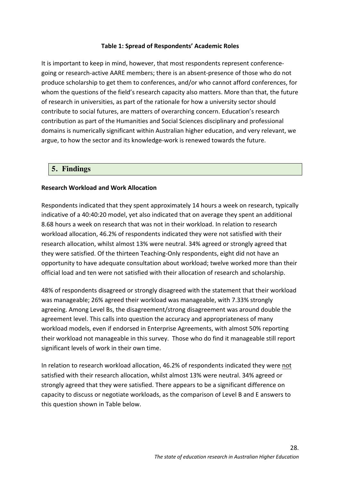#### **Table 1: Spread of Respondents' Academic Roles**

It is important to keep in mind, however, that most respondents represent conferencegoing or research-active AARE members; there is an absent-presence of those who do not produce scholarship to get them to conferences, and/or who cannot afford conferences, for whom the questions of the field's research capacity also matters. More than that, the future of research in universities, as part of the rationale for how a university sector should contribute to social futures, are matters of overarching concern. Education's research contribution as part of the Humanities and Social Sciences disciplinary and professional domains is numerically significant within Australian higher education, and very relevant, we argue, to how the sector and its knowledge-work is renewed towards the future.

#### **5. Findings**

#### **Research Workload and Work Allocation**

Respondents indicated that they spent approximately 14 hours a week on research, typically indicative of a 40:40:20 model, yet also indicated that on average they spent an additional 8.68 hours a week on research that was not in their workload. In relation to research workload allocation, 46.2% of respondents indicated they were not satisfied with their research allocation, whilst almost 13% were neutral. 34% agreed or strongly agreed that they were satisfied. Of the thirteen Teaching-Only respondents, eight did not have an opportunity to have adequate consultation about workload; twelve worked more than their official load and ten were not satisfied with their allocation of research and scholarship.

48% of respondents disagreed or strongly disagreed with the statement that their workload was manageable; 26% agreed their workload was manageable, with 7.33% strongly agreeing. Among Level Bs, the disagreement/strong disagreement was around double the agreement level. This calls into question the accuracy and appropriateness of many workload models, even if endorsed in Enterprise Agreements, with almost 50% reporting their workload not manageable in this survey. Those who do find it manageable still report significant levels of work in their own time.

In relation to research workload allocation, 46.2% of respondents indicated they were not satisfied with their research allocation, whilst almost 13% were neutral. 34% agreed or strongly agreed that they were satisfied. There appears to be a significant difference on capacity to discuss or negotiate workloads, as the comparison of Level B and E answers to this question shown in Table below.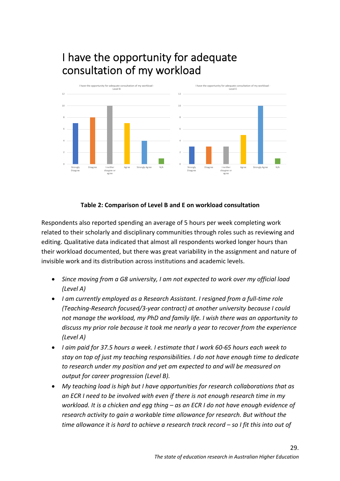# I have the opportunity for adequate consultation of my workload



## **Table 2: Comparison of Level B and E on workload consultation**

Respondents also reported spending an average of 5 hours per week completing work related to their scholarly and disciplinary communities through roles such as reviewing and editing. Qualitative data indicated that almost all respondents worked longer hours than their workload documented, but there was great variability in the assignment and nature of invisible work and its distribution across institutions and academic levels.

- *Since moving from a G8 university, I am not expected to work over my official load (Level A)*
- *I am currently employed as a Research Assistant. I resigned from a full-time role (Teaching-Research focused/3-year contract) at another university because I could not manage the workload, my PhD and family life. I wish there was an opportunity to discuss my prior role because it took me nearly a year to recover from the experience (Level A)*
- *I aim paid for 37.5 hours a week. I estimate that I work 60-65 hours each week to stay on top of just my teaching responsibilities. I do not have enough time to dedicate to research under my position and yet am expected to and will be measured on output for career progression (Level B).*
- *My teaching load is high but I have opportunities for research collaborations that as an ECR I need to be involved with even if there is not enough research time in my workload. It is a chicken and egg thing – as an ECR I do not have enough evidence of research activity to gain a workable time allowance for research. But without the time allowance it is hard to achieve a research track record – so I fit this into out of*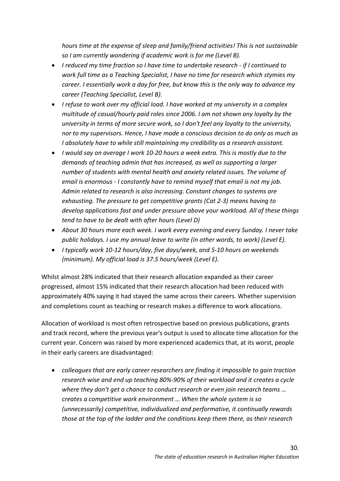*hours time at the expense of sleep and family/friend activities! This is not sustainable so I am currently wondering if academic work is for me (Level B).*

- *I reduced my time fraction so I have time to undertake research - if I continued to work full time as a Teaching Specialist, I have no time for research which stymies my career. I essentially work a day for free, but know this is the only way to advance my career (Teaching Specialist, Level B).*
- *I refuse to work over my official load. I have worked at my university in a complex multitude of casual/hourly paid roles since 2006. I am not shown any loyalty by the university in terms of more secure work, so I don't feel any loyalty to the university, nor to my supervisors. Hence, I have made a conscious decision to do only as much as I absolutely have to while still maintaining my credibility as a research assistant.*
- *I would say on average I work 10-20 hours a week extra. This is mostly due to the demands of teaching admin that has increased, as well as supporting a larger number of students with mental health and anxiety related issues. The volume of email is enormous - I constantly have to remind myself that email is not my job. Admin related to research is also increasing. Constant changes to systems are exhausting. The pressure to get competitive grants (Cat 2-3) means having to develop applications fast and under pressure above your workload. All of these things tend to have to be dealt with after hours (Level D)*
- *About 30 hours more each week. I work every evening and every Sunday. I never take public holidays. I use my annual leave to write (in other words, to work) (Level E).*
- *I typically work 10-12 hours/day, five days/week, and 5-10 hours on weekends (minimum). My official load is 37.5 hours/week (Level E).*

Whilst almost 28% indicated that their research allocation expanded as their career progressed, almost 15% indicated that their research allocation had been reduced with approximately 40% saying it had stayed the same across their careers. Whether supervision and completions count as teaching or research makes a difference to work allocations.

Allocation of workload is most often retrospective based on previous publications, grants and track record, where the previous year's output is used to allocate time allocation for the current year. Concern was raised by more experienced academics that, at its worst, people in their early careers are disadvantaged:

• *colleagues that are early career researchers are finding it impossible to gain traction research wise and end up teaching 80%-90% of their workload and it creates a cycle where they don't get a chance to conduct research or even join research teams … creates a competitive work environment … When the whole system is so (unnecessarily) competitive, individualized and performative, it continually rewards those at the top of the ladder and the conditions keep them there, as their research*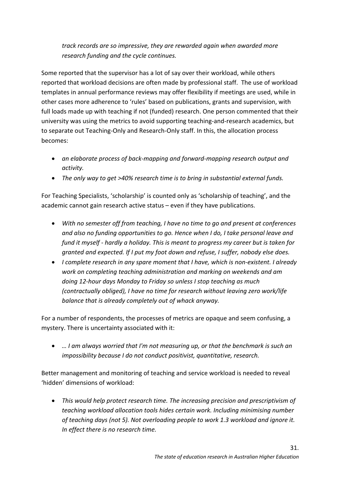*track records are so impressive, they are rewarded again when awarded more research funding and the cycle continues.* 

Some reported that the supervisor has a lot of say over their workload, while others reported that workload decisions are often made by professional staff. The use of workload templates in annual performance reviews may offer flexibility if meetings are used, while in other cases more adherence to 'rules' based on publications, grants and supervision, with full loads made up with teaching if not (funded) research. One person commented that their university was using the metrics to avoid supporting teaching-and-research academics, but to separate out Teaching-Only and Research-Only staff. In this, the allocation process becomes:

- *an elaborate process of back-mapping and forward-mapping research output and activity.*
- *The only way to get >40% research time is to bring in substantial external funds.*

For Teaching Specialists, 'scholarship' is counted only as 'scholarship of teaching', and the academic cannot gain research active status – even if they have publications.

- *With no semester off from teaching, I have no time to go and present at conferences and also no funding opportunities to go. Hence when I do, I take personal leave and fund it myself - hardly a holiday. This is meant to progress my career but is taken for granted and expected. If I put my foot down and refuse, I suffer, nobody else does.*
- *I complete research in any spare moment that I have, which is non-existent. I already work on completing teaching administration and marking on weekends and am doing 12-hour days Monday to Friday so unless I stop teaching as much (contractually obliged), I have no time for research without leaving zero work/life balance that is already completely out of whack anyway.*

For a number of respondents, the processes of metrics are opaque and seem confusing, a mystery. There is uncertainty associated with it:

• *… I am always worried that I'm not measuring up, or that the benchmark is such an impossibility because I do not conduct positivist, quantitative, research.* 

Better management and monitoring of teaching and service workload is needed to reveal 'hidden' dimensions of workload:

• *This would help protect research time. The increasing precision and prescriptivism of teaching workload allocation tools hides certain work. Including minimising number of teaching days (not 5). Not overloading people to work 1.3 workload and ignore it. In effect there is no research time.*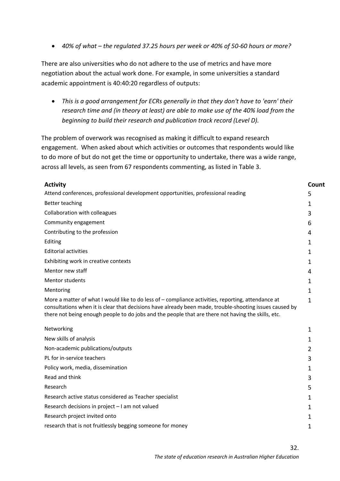• *40% of what – the regulated 37.25 hours per week or 40% of 50-60 hours or more?* 

There are also universities who do not adhere to the use of metrics and have more negotiation about the actual work done. For example, in some universities a standard academic appointment is 40:40:20 regardless of outputs:

• *This is a good arrangement for ECRs generally in that they don't have to 'earn' their research time and (in theory at least) are able to make use of the 40% load from the beginning to build their research and publication track record (Level D).* 

The problem of overwork was recognised as making it difficult to expand research engagement. When asked about which activities or outcomes that respondents would like to do more of but do not get the time or opportunity to undertake, there was a wide range, across all levels, as seen from 67 respondents commenting, as listed in Table 3.

| <b>Activity</b>                                                                                                                                                                                                                                                                                                     | Count          |
|---------------------------------------------------------------------------------------------------------------------------------------------------------------------------------------------------------------------------------------------------------------------------------------------------------------------|----------------|
| Attend conferences, professional development opportunities, professional reading                                                                                                                                                                                                                                    | 5              |
| Better teaching                                                                                                                                                                                                                                                                                                     | 1              |
| Collaboration with colleagues                                                                                                                                                                                                                                                                                       |                |
| Community engagement                                                                                                                                                                                                                                                                                                | 6              |
| Contributing to the profession                                                                                                                                                                                                                                                                                      | 4              |
| Editing                                                                                                                                                                                                                                                                                                             | 1              |
| <b>Editorial activities</b>                                                                                                                                                                                                                                                                                         | 1              |
| Exhibiting work in creative contexts                                                                                                                                                                                                                                                                                | 1              |
| Mentor new staff                                                                                                                                                                                                                                                                                                    | 4              |
| Mentor students                                                                                                                                                                                                                                                                                                     | 1              |
| Mentoring                                                                                                                                                                                                                                                                                                           | 1              |
| More a matter of what I would like to do less of - compliance activities, reporting, attendance at<br>consultations when it is clear that decisions have already been made, trouble-shooting issues caused by<br>there not being enough people to do jobs and the people that are there not having the skills, etc. |                |
| Networking                                                                                                                                                                                                                                                                                                          | 1              |
| New skills of analysis                                                                                                                                                                                                                                                                                              | 1              |
| Non-academic publications/outputs                                                                                                                                                                                                                                                                                   | $\overline{2}$ |
| PL for in-service teachers                                                                                                                                                                                                                                                                                          | 3              |
| Policy work, media, dissemination                                                                                                                                                                                                                                                                                   | 1              |
| Read and think                                                                                                                                                                                                                                                                                                      | 3              |
| Research                                                                                                                                                                                                                                                                                                            | 5              |
| Research active status considered as Teacher specialist                                                                                                                                                                                                                                                             | 1              |
| Research decisions in project - I am not valued                                                                                                                                                                                                                                                                     | 1              |
| Research project invited onto                                                                                                                                                                                                                                                                                       | $\mathbf{1}$   |
| research that is not fruitlessly begging someone for money                                                                                                                                                                                                                                                          | 1              |
|                                                                                                                                                                                                                                                                                                                     |                |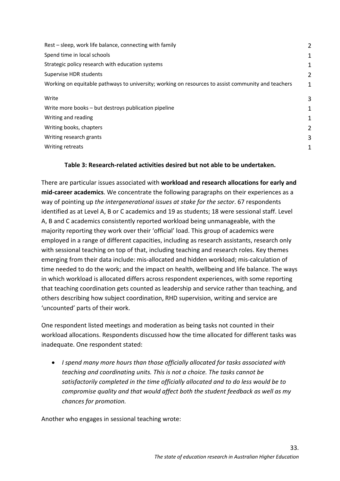| Rest – sleep, work life balance, connecting with family                                            |   |
|----------------------------------------------------------------------------------------------------|---|
| Spend time in local schools                                                                        |   |
| Strategic policy research with education systems                                                   |   |
| Supervise HDR students                                                                             | 2 |
| Working on equitable pathways to university; working on resources to assist community and teachers | 1 |
| Write                                                                                              | З |
| Write more books - but destroys publication pipeline                                               |   |
| Writing and reading                                                                                | 1 |
| Writing books, chapters                                                                            | 2 |
| Writing research grants                                                                            | З |
| Writing retreats                                                                                   | 1 |

## **Table 3: Research-related activities desired but not able to be undertaken.**

There are particular issues associated with **workload and research allocations for early and mid-career academics**. We concentrate the following paragraphs on their experiences as a way of pointing up *the intergenerational issues at stake for the sector*. 67 respondents identified as at Level A, B or C academics and 19 as students; 18 were sessional staff. Level A, B and C academics consistently reported workload being unmanageable, with the majority reporting they work over their 'official' load. This group of academics were employed in a range of different capacities, including as research assistants, research only with sessional teaching on top of that, including teaching and research roles. Key themes emerging from their data include: mis-allocated and hidden workload; mis-calculation of time needed to do the work; and the impact on health, wellbeing and life balance. The ways in which workload is allocated differs across respondent experiences, with some reporting that teaching coordination gets counted as leadership and service rather than teaching, and others describing how subject coordination, RHD supervision, writing and service are 'uncounted' parts of their work.

One respondent listed meetings and moderation as being tasks not counted in their workload allocations. Respondents discussed how the time allocated for different tasks was inadequate. One respondent stated:

• *I spend many more hours than those officially allocated for tasks associated with teaching and coordinating units. This is not a choice. The tasks cannot be satisfactorily completed in the time officially allocated and to do less would be to compromise quality and that would affect both the student feedback as well as my chances for promotion.*

Another who engages in sessional teaching wrote: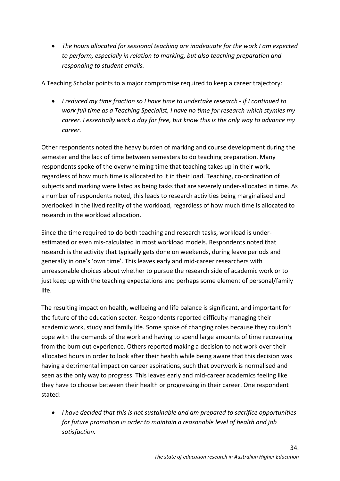• *The hours allocated for sessional teaching are inadequate for the work I am expected to perform, especially in relation to marking, but also teaching preparation and responding to student emails.*

A Teaching Scholar points to a major compromise required to keep a career trajectory:

• *I reduced my time fraction so I have time to undertake research - if I continued to work full time as a Teaching Specialist, I have no time for research which stymies my career. I essentially work a day for free, but know this is the only way to advance my career.*

Other respondents noted the heavy burden of marking and course development during the semester and the lack of time between semesters to do teaching preparation. Many respondents spoke of the overwhelming time that teaching takes up in their work, regardless of how much time is allocated to it in their load. Teaching, co-ordination of subjects and marking were listed as being tasks that are severely under-allocated in time. As a number of respondents noted, this leads to research activities being marginalised and overlooked in the lived reality of the workload, regardless of how much time is allocated to research in the workload allocation.

Since the time required to do both teaching and research tasks, workload is underestimated or even mis-calculated in most workload models. Respondents noted that research is the activity that typically gets done on weekends, during leave periods and generally in one's 'own time'. This leaves early and mid-career researchers with unreasonable choices about whether to pursue the research side of academic work or to just keep up with the teaching expectations and perhaps some element of personal/family life.

The resulting impact on health, wellbeing and life balance is significant, and important for the future of the education sector. Respondents reported difficulty managing their academic work, study and family life. Some spoke of changing roles because they couldn't cope with the demands of the work and having to spend large amounts of time recovering from the burn out experience. Others reported making a decision to not work over their allocated hours in order to look after their health while being aware that this decision was having a detrimental impact on career aspirations, such that overwork is normalised and seen as the only way to progress. This leaves early and mid-career academics feeling like they have to choose between their health or progressing in their career. One respondent stated:

• *I have decided that this is not sustainable and am prepared to sacrifice opportunities for future promotion in order to maintain a reasonable level of health and job satisfaction.*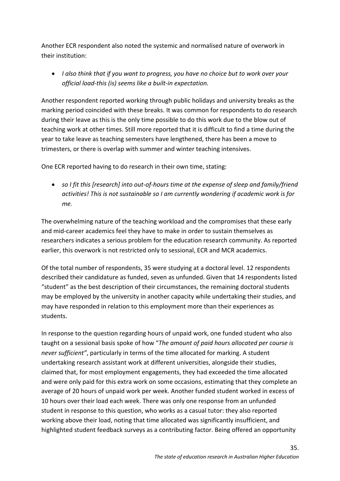Another ECR respondent also noted the systemic and normalised nature of overwork in their institution:

• *I also think that if you want to progress, you have no choice but to work over your official load-this (is) seems like a built-in expectation.*

Another respondent reported working through public holidays and university breaks as the marking period coincided with these breaks. It was common for respondents to do research during their leave as this is the only time possible to do this work due to the blow out of teaching work at other times. Still more reported that it is difficult to find a time during the year to take leave as teaching semesters have lengthened, there has been a move to trimesters, or there is overlap with summer and winter teaching intensives.

One ECR reported having to do research in their own time, stating:

• *so I fit this [research] into out-of-hours time at the expense of sleep and family/friend activities! This is not sustainable so I am currently wondering if academic work is for me.*

The overwhelming nature of the teaching workload and the compromises that these early and mid-career academics feel they have to make in order to sustain themselves as researchers indicates a serious problem for the education research community. As reported earlier, this overwork is not restricted only to sessional, ECR and MCR academics.

Of the total number of respondents, 35 were studying at a doctoral level. 12 respondents described their candidature as funded, seven as unfunded. Given that 14 respondents listed "student" as the best description of their circumstances, the remaining doctoral students may be employed by the university in another capacity while undertaking their studies, and may have responded in relation to this employment more than their experiences as students.

In response to the question regarding hours of unpaid work, one funded student who also taught on a sessional basis spoke of how "*The amount of paid hours allocated per course is never sufficient"*, particularly in terms of the time allocated for marking. A student undertaking research assistant work at different universities, alongside their studies, claimed that, for most employment engagements, they had exceeded the time allocated and were only paid for this extra work on some occasions, estimating that they complete an average of 20 hours of unpaid work per week. Another funded student worked in excess of 10 hours over their load each week. There was only one response from an unfunded student in response to this question, who works as a casual tutor: they also reported working above their load, noting that time allocated was significantly insufficient, and highlighted student feedback surveys as a contributing factor. Being offered an opportunity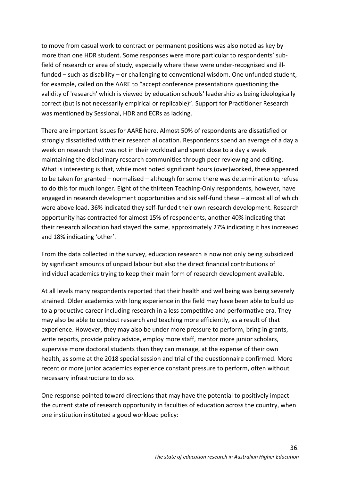to move from casual work to contract or permanent positions was also noted as key by more than one HDR student. Some responses were more particular to respondents' subfield of research or area of study, especially where these were under-recognised and illfunded – such as disability – or challenging to conventional wisdom. One unfunded student, for example, called on the AARE to "accept conference presentations questioning the validity of 'research' which is viewed by education schools' leadership as being ideologically correct (but is not necessarily empirical or replicable)". Support for Practitioner Research was mentioned by Sessional, HDR and ECRs as lacking.

There are important issues for AARE here. Almost 50% of respondents are dissatisfied or strongly dissatisfied with their research allocation. Respondents spend an average of a day a week on research that was not in their workload and spent close to a day a week maintaining the disciplinary research communities through peer reviewing and editing. What is interesting is that, while most noted significant hours (over)worked, these appeared to be taken for granted – normalised – although for some there was determination to refuse to do this for much longer. Eight of the thirteen Teaching-Only respondents, however, have engaged in research development opportunities and six self-fund these – almost all of which were above load. 36% indicated they self-funded their own research development. Research opportunity has contracted for almost 15% of respondents, another 40% indicating that their research allocation had stayed the same, approximately 27% indicating it has increased and 18% indicating 'other'.

From the data collected in the survey, education research is now not only being subsidized by significant amounts of unpaid labour but also the direct financial contributions of individual academics trying to keep their main form of research development available.

At all levels many respondents reported that their health and wellbeing was being severely strained. Older academics with long experience in the field may have been able to build up to a productive career including research in a less competitive and performative era. They may also be able to conduct research and teaching more efficiently, as a result of that experience. However, they may also be under more pressure to perform, bring in grants, write reports, provide policy advice, employ more staff, mentor more junior scholars, supervise more doctoral students than they can manage, at the expense of their own health, as some at the 2018 special session and trial of the questionnaire confirmed. More recent or more junior academics experience constant pressure to perform, often without necessary infrastructure to do so.

One response pointed toward directions that may have the potential to positively impact the current state of research opportunity in faculties of education across the country, when one institution instituted a good workload policy: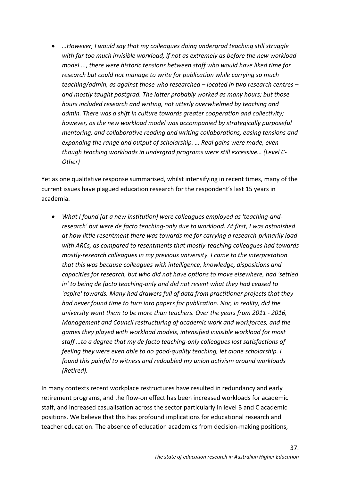• *…However, I would say that my colleagues doing undergrad teaching still struggle with far too much invisible workload, if not as extremely as before the new workload model ..., there were historic tensions between staff who would have liked time for research but could not manage to write for publication while carrying so much teaching/admin, as against those who researched – located in two research centres – and mostly taught postgrad. The latter probably worked as many hours; but those hours included research and writing, not utterly overwhelmed by teaching and admin. There was a shift in culture towards greater cooperation and collectivity; however, as the new workload model was accompanied by strategically purposeful mentoring, and collaborative reading and writing collaborations, easing tensions and expanding the range and output of scholarship. … Real gains were made, even though teaching workloads in undergrad programs were still excessive… (Level C-Other)*

Yet as one qualitative response summarised, whilst intensifying in recent times, many of the current issues have plagued education research for the respondent's last 15 years in academia.

• *What I found [at a new institution] were colleagues employed as 'teaching-andresearch' but were de facto teaching-only due to workload. At first, I was astonished at how little resentment there was towards me for carrying a research-primarily load with ARCs, as compared to resentments that mostly-teaching colleagues had towards mostly-research colleagues in my previous university. I came to the interpretation that this was because colleagues with intelligence, knowledge, dispositions and capacities for research, but who did not have options to move elsewhere, had 'settled in' to being de facto teaching-only and did not resent what they had ceased to 'aspire' towards. Many had drawers full of data from practitioner projects that they had never found time to turn into papers for publication. Nor, in reality, did the university want them to be more than teachers. Over the years from 2011 - 2016, Management and Council restructuring of academic work and workforces, and the games they played with workload models, intensified invisible workload for most staff …to a degree that my de facto teaching-only colleagues lost satisfactions of feeling they were even able to do good-quality teaching, let alone scholarship. I found this painful to witness and redoubled my union activism around workloads (Retired).*

In many contexts recent workplace restructures have resulted in redundancy and early retirement programs, and the flow-on effect has been increased workloads for academic staff, and increased casualisation across the sector particularly in level B and C academic positions. We believe that this has profound implications for educational research and teacher education. The absence of education academics from decision-making positions,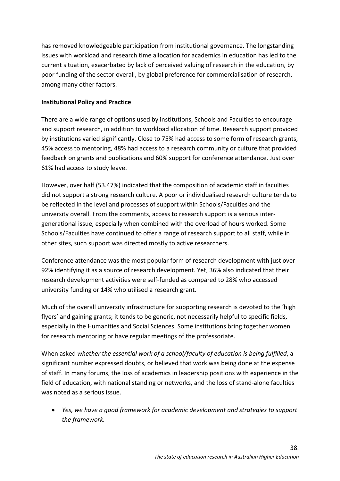has removed knowledgeable participation from institutional governance. The longstanding issues with workload and research time allocation for academics in education has led to the current situation, exacerbated by lack of perceived valuing of research in the education, by poor funding of the sector overall, by global preference for commercialisation of research, among many other factors.

## **Institutional Policy and Practice**

There are a wide range of options used by institutions, Schools and Faculties to encourage and support research, in addition to workload allocation of time. Research support provided by institutions varied significantly. Close to 75% had access to some form of research grants, 45% access to mentoring, 48% had access to a research community or culture that provided feedback on grants and publications and 60% support for conference attendance. Just over 61% had access to study leave.

However, over half (53.47%) indicated that the composition of academic staff in faculties did not support a strong research culture. A poor or individualised research culture tends to be reflected in the level and processes of support within Schools/Faculties and the university overall. From the comments, access to research support is a serious intergenerational issue, especially when combined with the overload of hours worked. Some Schools/Faculties have continued to offer a range of research support to all staff, while in other sites, such support was directed mostly to active researchers.

Conference attendance was the most popular form of research development with just over 92% identifying it as a source of research development. Yet, 36% also indicated that their research development activities were self-funded as compared to 28% who accessed university funding or 14% who utilised a research grant.

Much of the overall university infrastructure for supporting research is devoted to the 'high flyers' and gaining grants; it tends to be generic, not necessarily helpful to specific fields, especially in the Humanities and Social Sciences. Some institutions bring together women for research mentoring or have regular meetings of the professoriate.

When asked *whether the essential work of a school/faculty of education is being fulfilled*, a significant number expressed doubts, or believed that work was being done at the expense of staff. In many forums, the loss of academics in leadership positions with experience in the field of education, with national standing or networks, and the loss of stand-alone faculties was noted as a serious issue.

• *Yes, we have a good framework for academic development and strategies to support the framework.*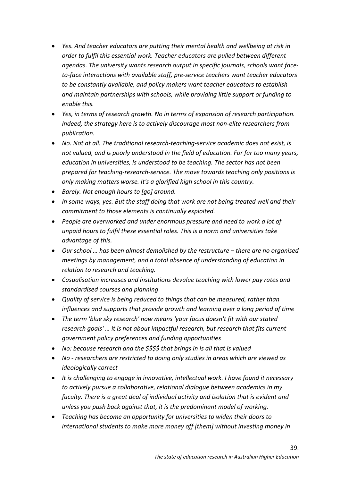- *Yes. And teacher educators are putting their mental health and wellbeing at risk in order to fulfil this essential work. Teacher educators are pulled between different agendas. The university wants research output in specific journals, schools want faceto-face interactions with available staff, pre-service teachers want teacher educators to be constantly available, and policy makers want teacher educators to establish and maintain partnerships with schools, while providing little support or funding to enable this.*
- *Yes, in terms of research growth. No in terms of expansion of research participation. Indeed, the strategy here is to actively discourage most non-elite researchers from publication.*
- *No. Not at all. The traditional research-teaching-service academic does not exist, is not valued, and is poorly understood in the field of education. For far too many years, education in universities, is understood to be teaching. The sector has not been prepared for teaching-research-service. The move towards teaching only positions is only making matters worse. It's a glorified high school in this country.*
- *Barely. Not enough hours to [go] around.*
- *In some ways, yes. But the staff doing that work are not being treated well and their commitment to those elements is continually exploited.*
- *People are overworked and under enormous pressure and need to work a lot of unpaid hours to fulfil these essential roles. This is a norm and universities take advantage of this.*
- *Our school … has been almost demolished by the restructure – there are no organised meetings by management, and a total absence of understanding of education in relation to research and teaching.*
- *Casualisation increases and institutions devalue teaching with lower pay rates and standardised courses and planning*
- *Quality of service is being reduced to things that can be measured, rather than influences and supports that provide growth and learning over a long period of time*
- *The term 'blue sky research' now means 'your focus doesn't fit with our stated research goals' … it is not about impactful research, but research that fits current government policy preferences and funding opportunities*
- *No: because research and the \$\$\$\$ that brings in is all that is valued*
- *No - researchers are restricted to doing only studies in areas which are viewed as ideologically correct*
- *It is challenging to engage in innovative, intellectual work. I have found it necessary to actively pursue a collaborative, relational dialogue between academics in my faculty. There is a great deal of individual activity and isolation that is evident and unless you push back against that, it is the predominant model of working.*
- *Teaching has become an opportunity for universities to widen their doors to international students to make more money off [them] without investing money in*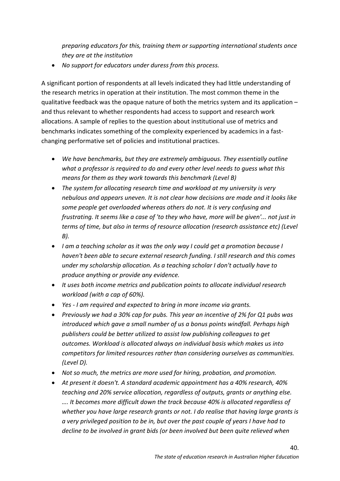*preparing educators for this, training them or supporting international students once they are at the institution*

• *No support for educators under duress from this process.*

A significant portion of respondents at all levels indicated they had little understanding of the research metrics in operation at their institution. The most common theme in the qualitative feedback was the opaque nature of both the metrics system and its application – and thus relevant to whether respondents had access to support and research work allocations. A sample of replies to the question about institutional use of metrics and benchmarks indicates something of the complexity experienced by academics in a fastchanging performative set of policies and institutional practices.

- *We have benchmarks, but they are extremely ambiguous. They essentially outline what a professor is required to do and every other level needs to guess what this means for them as they work towards this benchmark (Level B)*
- *The system for allocating research time and workload at my university is very nebulous and appears uneven. It is not clear how decisions are made and it looks like some people get overloaded whereas others do not. It is very confusing and frustrating. It seems like a case of 'to they who have, more will be given'... not just in terms of time, but also in terms of resource allocation (research assistance etc) (Level B).*
- *I am a teaching scholar as it was the only way I could get a promotion because I haven't been able to secure external research funding. I still research and this comes under my scholarship allocation. As a teaching scholar I don't actually have to produce anything or provide any evidence.*
- *It uses both income metrics and publication points to allocate individual research workload (with a cap of 60%).*
- *Yes - I am required and expected to bring in more income via grants.*
- *Previously we had a 30% cap for pubs. This year an incentive of 2% for Q1 pubs was introduced which gave a small number of us a bonus points windfall. Perhaps high publishers could be better utilized to assist low publishing colleagues to get outcomes. Workload is allocated always on individual basis which makes us into competitors for limited resources rather than considering ourselves as communities. (Level D).*
- *Not so much, the metrics are more used for hiring, probation, and promotion.*
- *At present it doesn't. A standard academic appointment has a 40% research, 40% teaching and 20% service allocation, regardless of outputs, grants or anything else. …. It becomes more difficult down the track because 40% is allocated regardless of whether you have large research grants or not. I do realise that having large grants is a very privileged position to be in, but over the past couple of years I have had to decline to be involved in grant bids (or been involved but been quite relieved when*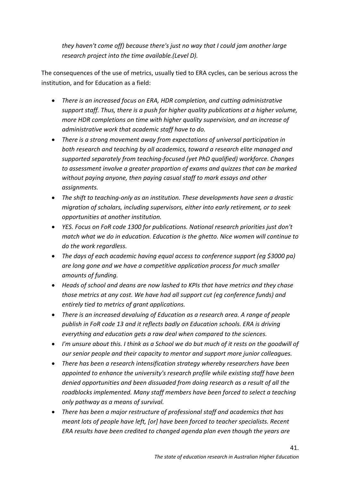*they haven't come off) because there's just no way that I could jam another large research project into the time available.(Level D).*

The consequences of the use of metrics, usually tied to ERA cycles, can be serious across the institution, and for Education as a field:

- *There is an increased focus on ERA, HDR completion, and cutting administrative support staff. Thus, there is a push for higher quality publications at a higher volume, more HDR completions on time with higher quality supervision, and an increase of administrative work that academic staff have to do.*
- *There is a strong movement away from expectations of universal participation in both research and teaching by all academics, toward a research elite managed and supported separately from teaching-focused (yet PhD qualified) workforce. Changes to assessment involve a greater proportion of exams and quizzes that can be marked without paying anyone, then paying casual staff to mark essays and other assignments.*
- *The shift to teaching-only as an institution. These developments have seen a drastic migration of scholars, including supervisors, either into early retirement, or to seek opportunities at another institution.*
- *YES. Focus on FoR code 1300 for publications. National research priorities just don't match what we do in education. Education is the ghetto. Nice women will continue to do the work regardless.*
- *The days of each academic having equal access to conference support (eg \$3000 pa) are long gone and we have a competitive application process for much smaller amounts of funding.*
- *Heads of school and deans are now lashed to KPIs that have metrics and they chase those metrics at any cost. We have had all support cut (eg conference funds) and entirely tied to metrics of grant applications.*
- *There is an increased devaluing of Education as a research area. A range of people publish in FoR code 13 and it reflects badly on Education schools. ERA is driving everything and education gets a raw deal when compared to the sciences.*
- *I'm unsure about this. I think as a School we do but much of it rests on the goodwill of our senior people and their capacity to mentor and support more junior colleagues.*
- *There has been a research intensification strategy whereby researchers have been appointed to enhance the university's research profile while existing staff have been denied opportunities and been dissuaded from doing research as a result of all the roadblocks implemented. Many staff members have been forced to select a teaching only pathway as a means of survival.*
- *There has been a major restructure of professional staff and academics that has meant lots of people have left, [or] have been forced to teacher specialists. Recent ERA results have been credited to changed agenda plan even though the years are*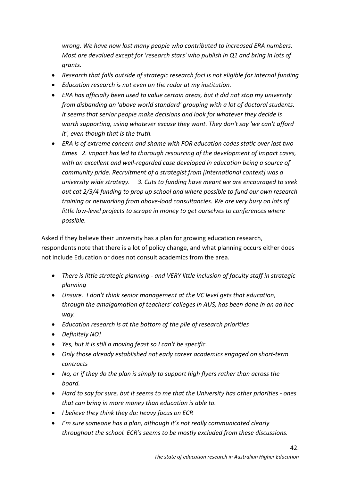*wrong. We have now lost many people who contributed to increased ERA numbers. Most are devalued except for 'research stars' who publish in Q1 and bring in lots of grants.* 

- *Research that falls outside of strategic research foci is not eligible for internal funding*
- *Education research is not even on the radar at my institution.*
- *ERA has officially been used to value certain areas, but it did not stop my university from disbanding an 'above world standard' grouping with a lot of doctoral students. It seems that senior people make decisions and look for whatever they decide is worth supporting, using whatever excuse they want. They don't say 'we can't afford it', even though that is the truth.*
- *ERA is of extreme concern and shame with FOR education codes static over last two times 2. impact has led to thorough resourcing of the development of Impact cases, with an excellent and well-regarded case developed in education being a source of community pride. Recruitment of a strategist from [international context] was a university wide strategy. 3. Cuts to funding have meant we are encouraged to seek out cat 2/3/4 funding to prop up school and where possible to fund our own research training or networking from above-load consultancies. We are very busy on lots of little low-level projects to scrape in money to get ourselves to conferences where possible.*

Asked if they believe their university has a plan for growing education research, respondents note that there is a lot of policy change, and what planning occurs either does not include Education or does not consult academics from the area.

- *There is little strategic planning - and VERY little inclusion of faculty staff in strategic planning*
- *Unsure. I don't think senior management at the VC level gets that education, through the amalgamation of teachers' colleges in AUS, has been done in an ad hoc way.*
- *Education research is at the bottom of the pile of research priorities*
- *Definitely NO!*
- *Yes, but it is still a moving feast so I can't be specific.*
- *Only those already established not early career academics engaged on short-term contracts*
- *No, or if they do the plan is simply to support high flyers rather than across the board.*
- *Hard to say for sure, but it seems to me that the University has other priorities - ones that can bring in more money than education is able to.*
- *I believe they think they do: heavy focus on ECR*
- *I'm sure someone has a plan, although it's not really communicated clearly throughout the school. ECR's seems to be mostly excluded from these discussions.*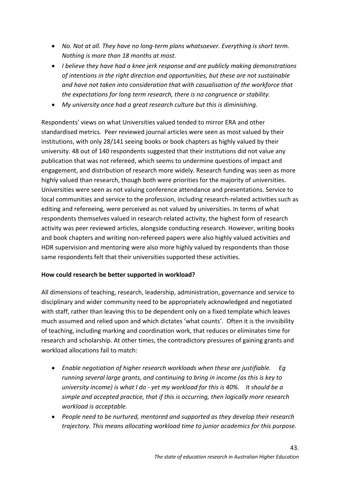- *No. Not at all. They have no long-term plans whatsoever. Everything is short term. Nothing is more than 18 months at most.*
- *I believe they have had a knee jerk response and are publicly making demonstrations of intentions in the right direction and opportunities, but these are not sustainable and have not taken into consideration that with casualisation of the workforce that the expectations for long term research, there is no congruence or stability.*
- *My university once had a great research culture but this is diminishing.*

Respondents' views on what Universities valued tended to mirror ERA and other standardised metrics. Peer reviewed journal articles were seen as most valued by their institutions, with only 28/141 seeing books or book chapters as highly valued by their university. 48 out of 140 respondents suggested that their institutions did not value any publication that was not refereed, which seems to undermine questions of impact and engagement, and distribution of research more widely. Research funding was seen as more highly valued than research, though both were priorities for the majority of universities. Universities were seen as not valuing conference attendance and presentations. Service to local communities and service to the profession, including research-related activities such as editing and refereeing, were perceived as not valued by universities. In terms of what respondents themselves valued in research-related activity, the highest form of research activity was peer reviewed articles, alongside conducting research. However, writing books and book chapters and writing non-refereed papers were also highly valued activities and HDR supervision and mentoring were also more highly valued by respondents than those same respondents felt that their universities supported these activities.

## **How could research be better supported in workload?**

All dimensions of teaching, research, leadership, administration, governance and service to disciplinary and wider community need to be appropriately acknowledged and negotiated with staff, rather than leaving this to be dependent only on a fixed template which leaves much assumed and relied upon and which dictates 'what counts'. Often it is the invisibility of teaching, including marking and coordination work, that reduces or eliminates time for research and scholarship. At other times, the contradictory pressures of gaining grants and workload allocations fail to match:

- *Enable negotiation of higher research workloads when these are justifiable. Eg running several large grants, and continuing to bring in income (as this is key to university income) is what I do - yet my workload for this is 40%. It should be a simple and accepted practice, that if this is occurring, then logically more research workload is acceptable.*
- *People need to be nurtured, mentored and supported as they develop their research trajectory. This means allocating workload time to junior academics for this purpose.*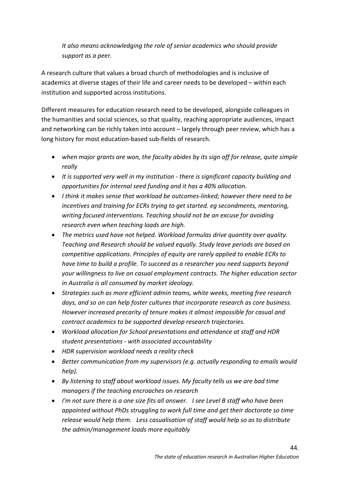*It also means acknowledging the role of senior academics who should provide support as a peer.*

A research culture that values a broad church of methodologies and is inclusive of academics at diverse stages of their life and career needs to be developed – within each institution and supported across institutions.

Different measures for education research need to be developed, alongside colleagues in the humanities and social sciences, so that quality, reaching appropriate audiences, impact and networking can be richly taken into account – largely through peer review, which has a long history for most education-based sub-fields of research.

- *when major grants are won, the faculty abides by its sign off for release, quite simple really*
- *It is supported very well in my institution - there is significant capacity building and opportunities for internal seed funding and it has a 40% allocation.*
- *I think it makes sense that workload be outcomes-linked; however there need to be incentives and training for ECRs trying to get started. eg secondments, mentoring, writing focused interventions. Teaching should not be an excuse for avoiding research even when teaching loads are high.*
- *The metrics used have not helped. Workload formulas drive quantity over quality. Teaching and Research should be valued equally. Study leave periods are based on competitive applications. Principles of equity are rarely applied to enable ECRs to have time to build a profile. To succeed as a researcher you need supports beyond your willingness to live on casual employment contracts. The higher education sector in Australia is all consumed by market ideology.*
- *Strategies such as more efficient admin teams, white weeks, meeting free research days, and so on can help foster cultures that incorporate research as core business. However increased precarity of tenure makes it almost impossible for casual and contract academics to be supported develop research trajectories.*
- *Workload allocation for School presentations and attendance at staff and HDR student presentations - with associated accountability*
- *HDR supervision workload needs a reality check*
- *Better communication from my supervisors (e.g. actually responding to emails would help).*
- *By listening to staff about workload issues. My faculty tells us we are bad time managers if the teaching encroaches on research*
- *I'm not sure there is a one size fits all answer. I see Level B staff who have been appointed without PhDs struggling to work full time and get their doctorate so time release would help them. Less casualisation of staff would help so as to distribute the admin/management loads more equitably*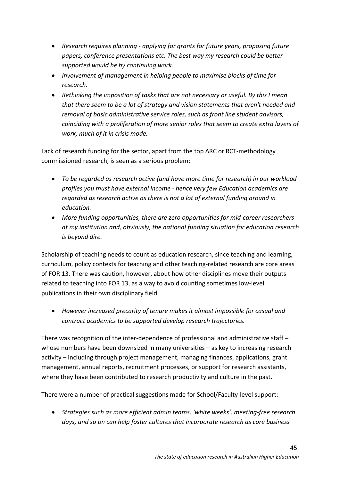- *Research requires planning - applying for grants for future years, proposing future papers, conference presentations etc. The best way my research could be better supported would be by continuing work.*
- *Involvement of management in helping people to maximise blocks of time for research.*
- *Rethinking the imposition of tasks that are not necessary or useful. By this I mean that there seem to be a lot of strategy and vision statements that aren't needed and removal of basic administrative service roles, such as front line student advisors, coinciding with a proliferation of more senior roles that seem to create extra layers of work, much of it in crisis mode.*

Lack of research funding for the sector, apart from the top ARC or RCT-methodology commissioned research, is seen as a serious problem:

- *To be regarded as research active (and have more time for research) in our workload profiles you must have external income - hence very few Education academics are regarded as research active as there is not a lot of external funding around in education.*
- *More funding opportunities, there are zero opportunities for mid-career researchers at my institution and, obviously, the national funding situation for education research is beyond dire.*

Scholarship of teaching needs to count as education research, since teaching and learning, curriculum, policy contexts for teaching and other teaching-related research are core areas of FOR 13. There was caution, however, about how other disciplines move their outputs related to teaching into FOR 13, as a way to avoid counting sometimes low-level publications in their own disciplinary field.

• *However increased precarity of tenure makes it almost impossible for casual and contract academics to be supported develop research trajectories.*

There was recognition of the inter-dependence of professional and administrative staff – whose numbers have been downsized in many universities – as key to increasing research activity – including through project management, managing finances, applications, grant management, annual reports, recruitment processes, or support for research assistants, where they have been contributed to research productivity and culture in the past.

There were a number of practical suggestions made for School/Faculty-level support:

• *Strategies such as more efficient admin teams, 'white weeks', meeting-free research days, and so on can help foster cultures that incorporate research as core business*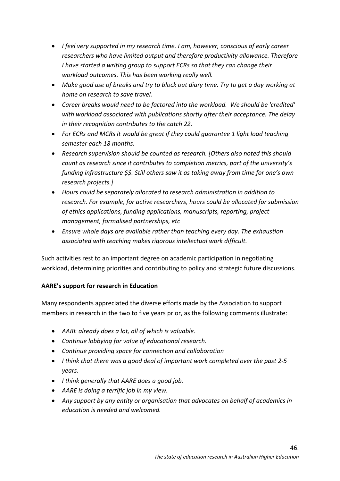- *I feel very supported in my research time. I am, however, conscious of early career researchers who have limited output and therefore productivity allowance. Therefore I have started a writing group to support ECRs so that they can change their workload outcomes. This has been working really well.*
- *Make good use of breaks and try to block out diary time. Try to get a day working at home on research to save travel.*
- *Career breaks would need to be factored into the workload. We should be 'credited' with workload associated with publications shortly after their acceptance. The delay in their recognition contributes to the catch 22.*
- *For ECRs and MCRs it would be great if they could guarantee 1 light load teaching semester each 18 months.*
- *Research supervision should be counted as research. [Others also noted this should count as research since it contributes to completion metrics, part of the university's funding infrastructure \$\$. Still others saw it as taking away from time for one's own research projects.]*
- *Hours could be separately allocated to research administration in addition to research. For example, for active researchers, hours could be allocated for submission of ethics applications, funding applications, manuscripts, reporting, project management, formalised partnerships, etc*
- *Ensure whole days are available rather than teaching every day. The exhaustion associated with teaching makes rigorous intellectual work difficult.*

Such activities rest to an important degree on academic participation in negotiating workload, determining priorities and contributing to policy and strategic future discussions.

## **AARE's support for research in Education**

Many respondents appreciated the diverse efforts made by the Association to support members in research in the two to five years prior, as the following comments illustrate:

- *AARE already does a lot, all of which is valuable.*
- *Continue lobbying for value of educational research.*
- *Continue providing space for connection and collaboration*
- *I think that there was a good deal of important work completed over the past 2-5 years.*
- *I think generally that AARE does a good job.*
- *AARE is doing a terrific job in my view.*
- *Any support by any entity or organisation that advocates on behalf of academics in education is needed and welcomed.*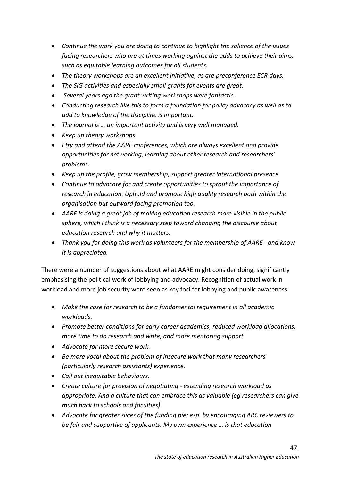- *Continue the work you are doing to continue to highlight the salience of the issues facing researchers who are at times working against the odds to achieve their aims, such as equitable learning outcomes for all students.*
- *The theory workshops are an excellent initiative, as are preconference ECR days.*
- *The SIG activities and especially small grants for events are great.*
- *Several years ago the grant writing workshops were fantastic.*
- *Conducting research like this to form a foundation for policy advocacy as well as to add to knowledge of the discipline is important.*
- *The journal is … an important activity and is very well managed.*
- *Keep up theory workshops*
- *I try and attend the AARE conferences, which are always excellent and provide opportunities for networking, learning about other research and researchers' problems.*
- *Keep up the profile, grow membership, support greater international presence*
- *Continue to advocate for and create opportunities to sprout the importance of research in education. Uphold and promote high quality research both within the organisation but outward facing promotion too.*
- *AARE is doing a great job of making education research more visible in the public sphere, which I think is a necessary step toward changing the discourse about education research and why it matters.*
- *Thank you for doing this work as volunteers for the membership of AARE - and know it is appreciated.*

There were a number of suggestions about what AARE might consider doing, significantly emphasising the political work of lobbying and advocacy. Recognition of actual work in workload and more job security were seen as key foci for lobbying and public awareness:

- *Make the case for research to be a fundamental requirement in all academic workloads.*
- *Promote better conditions for early career academics, reduced workload allocations, more time to do research and write, and more mentoring support*
- *Advocate for more secure work.*
- *Be more vocal about the problem of insecure work that many researchers (particularly research assistants) experience.*
- *Call out inequitable behaviours.*
- *Create culture for provision of negotiating - extending research workload as appropriate. And a culture that can embrace this as valuable (eg researchers can give much back to schools and faculties).*
- *Advocate for greater slices of the funding pie; esp. by encouraging ARC reviewers to be fair and supportive of applicants. My own experience … is that education*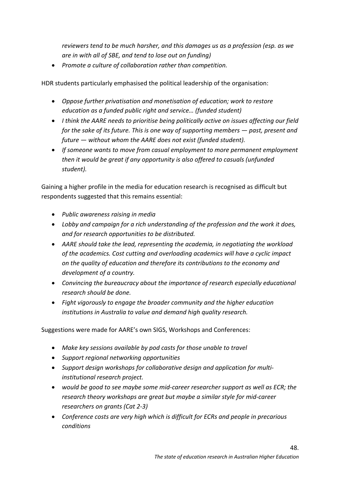*reviewers tend to be much harsher, and this damages us as a profession (esp. as we are in with all of SBE, and tend to lose out on funding)*

• *Promote a culture of collaboration rather than competition.* 

HDR students particularly emphasised the political leadership of the organisation:

- *Oppose further privatisation and monetisation of education; work to restore education as a funded public right and service… (funded student)*
- *I think the AARE needs to prioritise being politically active on issues affecting our field for the sake of its future. This is one way of supporting members — past, present and future — without whom the AARE does not exist (funded student).*
- *If someone wants to move from casual employment to more permanent employment then it would be great if any opportunity is also offered to casuals (unfunded student).*

Gaining a higher profile in the media for education research is recognised as difficult but respondents suggested that this remains essential:

- *Public awareness raising in media*
- *Lobby and campaign for a rich understanding of the profession and the work it does, and for research opportunities to be distributed.*
- *AARE should take the lead, representing the academia, in negotiating the workload of the academics. Cost cutting and overloading academics will have a cyclic impact on the quality of education and therefore its contributions to the economy and development of a country.*
- *Convincing the bureaucracy about the importance of research especially educational research should be done.*
- *Fight vigorously to engage the broader community and the higher education institutions in Australia to value and demand high quality research.*

Suggestions were made for AARE's own SIGS, Workshops and Conferences:

- *Make key sessions available by pod casts for those unable to travel*
- *Support regional networking opportunities*
- *Support design workshops for collaborative design and application for multiinstitutional research project.*
- *would be good to see maybe some mid-career researcher support as well as ECR; the research theory workshops are great but maybe a similar style for mid-career researchers on grants (Cat 2-3)*
- *Conference costs are very high which is difficult for ECRs and people in precarious conditions*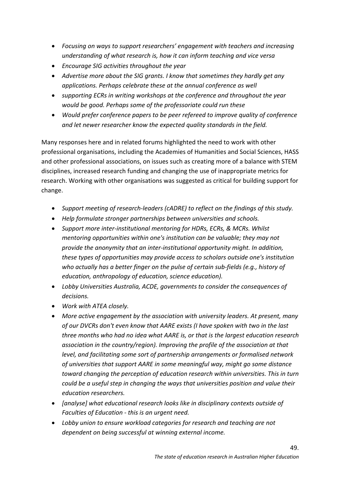- *Focusing on ways to support researchers' engagement with teachers and increasing understanding of what research is, how it can inform teaching and vice versa*
- *Encourage SIG activities throughout the year*
- *Advertise more about the SIG grants. I know that sometimes they hardly get any applications. Perhaps celebrate these at the annual conference as well*
- *supporting ECRs in writing workshops at the conference and throughout the year would be good. Perhaps some of the professoriate could run these*
- *Would prefer conference papers to be peer refereed to improve quality of conference and let newer researcher know the expected quality standards in the field.*

Many responses here and in related forums highlighted the need to work with other professional organisations, including the Academies of Humanities and Social Sciences, HASS and other professional associations, on issues such as creating more of a balance with STEM disciplines, increased research funding and changing the use of inappropriate metrics for research. Working with other organisations was suggested as critical for building support for change.

- *Support meeting of research-leaders (cADRE) to reflect on the findings of this study.*
- *Help formulate stronger partnerships between universities and schools.*
- *Support more inter-institutional mentoring for HDRs, ECRs, & MCRs. Whilst mentoring opportunities within one's institution can be valuable; they may not provide the anonymity that an inter-institutional opportunity might. In addition, these types of opportunities may provide access to scholars outside one's institution who actually has a better finger on the pulse of certain sub-fields (e.g., history of education, anthropology of education, science education).*
- *Lobby Universities Australia, ACDE, governments to consider the consequences of decisions.*
- *Work with ATEA closely.*
- *More active engagement by the association with university leaders. At present, many of our DVCRs don't even know that AARE exists (I have spoken with two in the last three months who had no idea what AARE is, or that is the largest education research association in the country/region). Improving the profile of the association at that level, and facilitating some sort of partnership arrangements or formalised network of universities that support AARE in some meaningful way, might go some distance toward changing the perception of education research within universities. This in turn could be a useful step in changing the ways that universities position and value their education researchers.*
- *[analyse] what educational research looks like in disciplinary contexts outside of Faculties of Education - this is an urgent need.*
- *Lobby union to ensure workload categories for research and teaching are not dependent on being successful at winning external income.*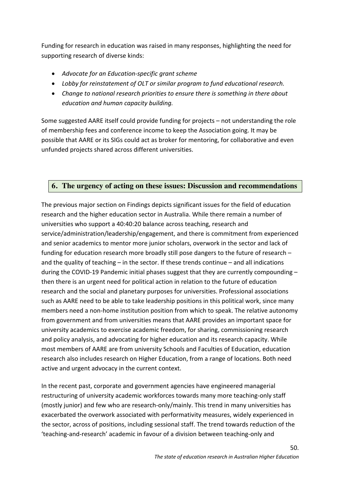Funding for research in education was raised in many responses, highlighting the need for supporting research of diverse kinds:

- *Advocate for an Education-specific grant scheme*
- *Lobby for reinstatement of OLT or similar program to fund educational research.*
- *Change to national research priorities to ensure there is something in there about education and human capacity building.*

Some suggested AARE itself could provide funding for projects – not understanding the role of membership fees and conference income to keep the Association going. It may be possible that AARE or its SIGs could act as broker for mentoring, for collaborative and even unfunded projects shared across different universities.

# **6. The urgency of acting on these issues: Discussion and recommendations**

The previous major section on Findings depicts significant issues for the field of education research and the higher education sector in Australia. While there remain a number of universities who support a 40:40:20 balance across teaching, research and service/administration/leadership/engagement, and there is commitment from experienced and senior academics to mentor more junior scholars, overwork in the sector and lack of funding for education research more broadly still pose dangers to the future of research – and the quality of teaching – in the sector. If these trends continue – and all indications during the COVID-19 Pandemic initial phases suggest that they are currently compounding – then there is an urgent need for political action in relation to the future of education research and the social and planetary purposes for universities. Professional associations such as AARE need to be able to take leadership positions in this political work, since many members need a non-home institution position from which to speak. The relative autonomy from government and from universities means that AARE provides an important space for university academics to exercise academic freedom, for sharing, commissioning research and policy analysis, and advocating for higher education and its research capacity. While most members of AARE are from university Schools and Faculties of Education, education research also includes research on Higher Education, from a range of locations. Both need active and urgent advocacy in the current context.

In the recent past, corporate and government agencies have engineered managerial restructuring of university academic workforces towards many more teaching-only staff (mostly junior) and few who are research-only/mainly. This trend in many universities has exacerbated the overwork associated with performativity measures, widely experienced in the sector, across of positions, including sessional staff. The trend towards reduction of the 'teaching-and-research' academic in favour of a division between teaching-only and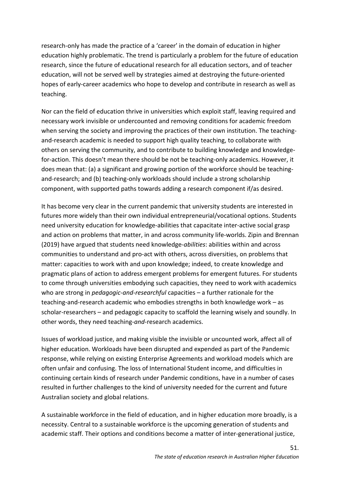research-only has made the practice of a 'career' in the domain of education in higher education highly problematic. The trend is particularly a problem for the future of education research, since the future of educational research for all education sectors, and of teacher education, will not be served well by strategies aimed at destroying the future-oriented hopes of early-career academics who hope to develop and contribute in research as well as teaching.

Nor can the field of education thrive in universities which exploit staff, leaving required and necessary work invisible or undercounted and removing conditions for academic freedom when serving the society and improving the practices of their own institution. The teachingand-research academic is needed to support high quality teaching, to collaborate with others on serving the community, and to contribute to building knowledge and knowledgefor-action. This doesn't mean there should be not be teaching-only academics. However, it does mean that: (a) a significant and growing portion of the workforce should be teachingand-research; and (b) teaching-only workloads should include a strong scholarship component, with supported paths towards adding a research component if/as desired.

It has become very clear in the current pandemic that university students are interested in futures more widely than their own individual entrepreneurial/vocational options. Students need university education for knowledge-abilities that capacitate inter-active social grasp and action on problems that matter, in and across community life-worlds. Zipin and Brennan (2019) have argued that students need knowledge-*abilities*: abilities within and across communities to understand and pro-act with others, across diversities, on problems that matter: capacities to work with and upon knowledge; indeed, to create knowledge and pragmatic plans of action to address emergent problems for emergent futures. For students to come through universities embodying such capacities, they need to work with academics who are strong in *pedagogic-and-researchful* capacities – a further rationale for the teaching-and-research academic who embodies strengths in both knowledge work – as scholar-researchers – and pedagogic capacity to scaffold the learning wisely and soundly. In other words, they need teaching-*and*-research academics.

Issues of workload justice, and making visible the invisible or uncounted work, affect all of higher education. Workloads have been disrupted and expended as part of the Pandemic response, while relying on existing Enterprise Agreements and workload models which are often unfair and confusing. The loss of International Student income, and difficulties in continuing certain kinds of research under Pandemic conditions, have in a number of cases resulted in further challenges to the kind of university needed for the current and future Australian society and global relations.

A sustainable workforce in the field of education, and in higher education more broadly, is a necessity. Central to a sustainable workforce is the upcoming generation of students and academic staff. Their options and conditions become a matter of inter-generational justice,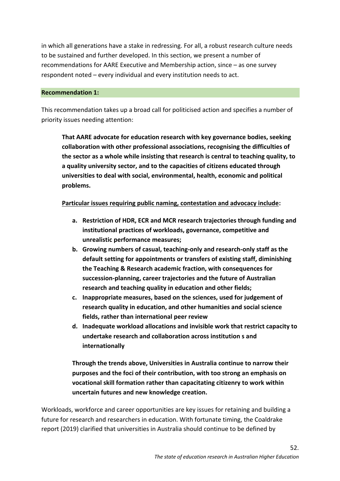in which all generations have a stake in redressing. For all, a robust research culture needs to be sustained and further developed. In this section, we present a number of recommendations for AARE Executive and Membership action, since – as one survey respondent noted – every individual and every institution needs to act.

## **Recommendation 1:**

This recommendation takes up a broad call for politicised action and specifies a number of priority issues needing attention:

**That AARE advocate for education research with key governance bodies, seeking collaboration with other professional associations, recognising the difficulties of the sector as a whole while insisting that research is central to teaching quality, to a quality university sector, and to the capacities of citizens educated through universities to deal with social, environmental, health, economic and political problems.** 

## **Particular issues requiring public naming, contestation and advocacy include:**

- **a. Restriction of HDR, ECR and MCR research trajectories through funding and institutional practices of workloads, governance, competitive and unrealistic performance measures;**
- **b. Growing numbers of casual, teaching-only and research-only staff as the default setting for appointments or transfers of existing staff, diminishing the Teaching & Research academic fraction, with consequences for succession-planning, career trajectories and the future of Australian research and teaching quality in education and other fields;**
- **c. Inappropriate measures, based on the sciences, used for judgement of research quality in education, and other humanities and social science fields, rather than international peer review**
- **d. Inadequate workload allocations and invisible work that restrict capacity to undertake research and collaboration across institution s and internationally**

**Through the trends above, Universities in Australia continue to narrow their purposes and the foci of their contribution, with too strong an emphasis on vocational skill formation rather than capacitating citizenry to work within uncertain futures and new knowledge creation.**

Workloads, workforce and career opportunities are key issues for retaining and building a future for research and researchers in education. With fortunate timing, the Coaldrake report (2019) clarified that universities in Australia should continue to be defined by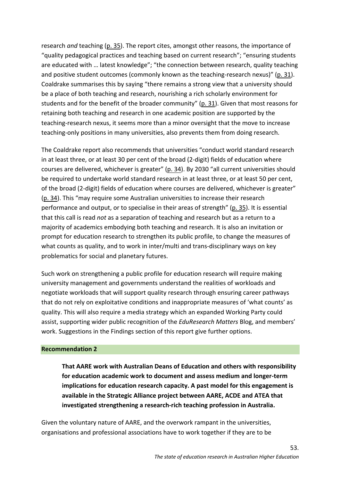research *and* teaching (p. 35). The report cites, amongst other reasons, the importance of "quality pedagogical practices and teaching based on current research"; "ensuring students are educated with … latest knowledge"; "the connection between research, quality teaching and positive student outcomes (commonly known as the teaching-research nexus)" (p. 31). Coaldrake summarises this by saying "there remains a strong view that a university should be a place of both teaching and research, nourishing a rich scholarly environment for students and for the benefit of the broader community" (p. 31). Given that most reasons for retaining both teaching and research in one academic position are supported by the teaching-research nexus, it seems more than a minor oversight that the move to increase teaching-only positions in many universities, also prevents them from doing research.

The Coaldrake report also recommends that universities "conduct world standard research in at least three, or at least 30 per cent of the broad (2-digit) fields of education where courses are delivered, whichever is greater" (p. 34). By 2030 "all current universities should be required to undertake world standard research in at least three, or at least 50 per cent, of the broad (2-digit) fields of education where courses are delivered, whichever is greater" (p. 34). This "may require some Australian universities to increase their research performance and output, or to specialise in their areas of strength" (p. 35). It is essential that this call is read *not* as a separation of teaching and research but as a return to a majority of academics embodying both teaching and research. It is also an invitation or prompt for education research to strengthen its public profile, to change the measures of what counts as quality, and to work in inter/multi and trans-disciplinary ways on key problematics for social and planetary futures.

Such work on strengthening a public profile for education research will require making university management and governments understand the realities of workloads and negotiate workloads that will support quality research through ensuring career pathways that do not rely on exploitative conditions and inappropriate measures of 'what counts' as quality. This will also require a media strategy which an expanded Working Party could assist, supporting wider public recognition of the *EduResearch Matters* Blog, and members' work. Suggestions in the Findings section of this report give further options.

### **Recommendation 2**

**That AARE work with Australian Deans of Education and others with responsibility for education academic work to document and assess medium and longer-term implications for education research capacity. A past model for this engagement is available in the Strategic Alliance project between AARE, ACDE and ATEA that investigated strengthening a research-rich teaching profession in Australia.** 

Given the voluntary nature of AARE, and the overwork rampant in the universities, organisations and professional associations have to work together if they are to be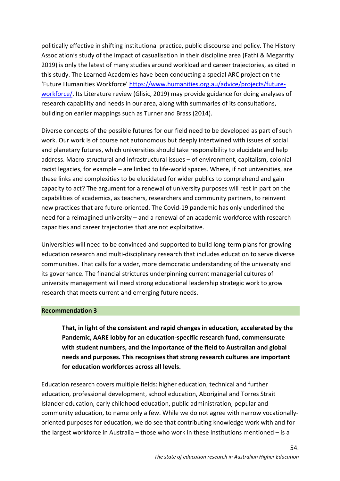politically effective in shifting institutional practice, public discourse and policy. The History Association's study of the impact of casualisation in their discipline area (Fathi & Megarrity 2019) is only the latest of many studies around workload and career trajectories, as cited in this study. The Learned Academies have been conducting a special ARC project on the 'Future Humanities Workforce' https://www.humanities.org.au/advice/projects/futureworkforce/. Its Literature review (Glisic, 2019) may provide guidance for doing analyses of research capability and needs in our area, along with summaries of its consultations, building on earlier mappings such as Turner and Brass (2014).

Diverse concepts of the possible futures for our field need to be developed as part of such work. Our work is of course not autonomous but deeply intertwined with issues of social and planetary futures, which universities should take responsibility to elucidate and help address. Macro-structural and infrastructural issues – of environment, capitalism, colonial racist legacies, for example – are linked to life-world spaces. Where, if not universities, are these links and complexities to be elucidated for wider publics to comprehend and gain capacity to act? The argument for a renewal of university purposes will rest in part on the capabilities of academics, as teachers, researchers and community partners, to reinvent new practices that are future-oriented. The Covid-19 pandemic has only underlined the need for a reimagined university – and a renewal of an academic workforce with research capacities and career trajectories that are not exploitative.

Universities will need to be convinced and supported to build long-term plans for growing education research and multi-disciplinary research that includes education to serve diverse communities. That calls for a wider, more democratic understanding of the university and its governance. The financial strictures underpinning current managerial cultures of university management will need strong educational leadership strategic work to grow research that meets current and emerging future needs.

#### **Recommendation 3**

**That, in light of the consistent and rapid changes in education, accelerated by the Pandemic, AARE lobby for an education-specific research fund, commensurate with student numbers, and the importance of the field to Australian and global needs and purposes. This recognises that strong research cultures are important for education workforces across all levels.** 

Education research covers multiple fields: higher education, technical and further education, professional development, school education, Aboriginal and Torres Strait Islander education, early childhood education, public administration, popular and community education, to name only a few. While we do not agree with narrow vocationallyoriented purposes for education, we do see that contributing knowledge work with and for the largest workforce in Australia – those who work in these institutions mentioned – is a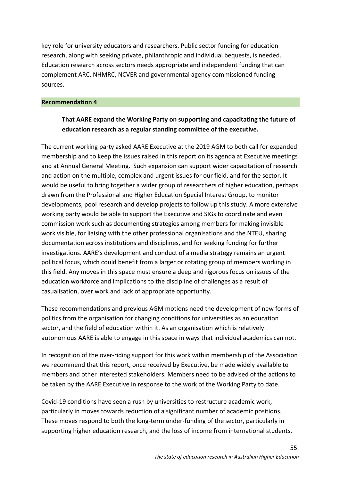key role for university educators and researchers. Public sector funding for education research, along with seeking private, philanthropic and individual bequests, is needed. Education research across sectors needs appropriate and independent funding that can complement ARC, NHMRC, NCVER and governmental agency commissioned funding sources.

### **Recommendation 4**

## **That AARE expand the Working Party on supporting and capacitating the future of education research as a regular standing committee of the executive.**

The current working party asked AARE Executive at the 2019 AGM to both call for expanded membership and to keep the issues raised in this report on its agenda at Executive meetings and at Annual General Meeting. Such expansion can support wider capacitation of research and action on the multiple, complex and urgent issues for our field, and for the sector. It would be useful to bring together a wider group of researchers of higher education, perhaps drawn from the Professional and Higher Education Special Interest Group, to monitor developments, pool research and develop projects to follow up this study. A more extensive working party would be able to support the Executive and SIGs to coordinate and even commission work such as documenting strategies among members for making invisible work visible, for liaising with the other professional organisations and the NTEU, sharing documentation across institutions and disciplines, and for seeking funding for further investigations. AARE's development and conduct of a media strategy remains an urgent political focus, which could benefit from a larger or rotating group of members working in this field. Any moves in this space must ensure a deep and rigorous focus on issues of the education workforce and implications to the discipline of challenges as a result of casualisation, over work and lack of appropriate opportunity.

These recommendations and previous AGM motions need the development of new forms of politics from the organisation for changing conditions for universities as an education sector, and the field of education within it. As an organisation which is relatively autonomous AARE is able to engage in this space in ways that individual academics can not.

In recognition of the over-riding support for this work within membership of the Association we recommend that this report, once received by Executive, be made widely available to members and other interested stakeholders. Members need to be advised of the actions to be taken by the AARE Executive in response to the work of the Working Party to date.

Covid-19 conditions have seen a rush by universities to restructure academic work, particularly in moves towards reduction of a significant number of academic positions. These moves respond to both the long-term under-funding of the sector, particularly in supporting higher education research, and the loss of income from international students,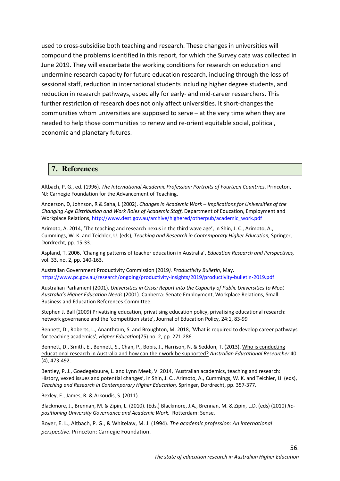used to cross-subsidise both teaching and research. These changes in universities will compound the problems identified in this report, for which the Survey data was collected in June 2019. They will exacerbate the working conditions for research on education and undermine research capacity for future education research, including through the loss of sessional staff, reduction in international students including higher degree students, and reduction in research pathways, especially for early- and mid-career researchers. This further restriction of research does not only affect universities. It short-changes the communities whom universities are supposed to serve – at the very time when they are needed to help those communities to renew and re-orient equitable social, political, economic and planetary futures.

#### **7. References**

Altbach, P. G., ed. (1996). *The International Academic Profession: Portraits of Fourteen Countries*. Princeton, NJ: Carnegie Foundation for the Advancement of Teaching.

Anderson, D, Johnson, R & Saha, L (2002). *Changes in Academic Work – Implications for Universities of the Changing Age Distribution and Work Roles of Academic Staff*, Department of Education, Employment and Workplace Relations, http://www.dest.gov.au/archive/highered/otherpub/academic\_work.pdf

Arimoto, A. 2014, 'The teaching and research nexus in the third wave age', in Shin, J. C., Arimoto, A., Cummings, W. K. and Teichler, U. (eds), *Teaching and Research in Contemporary Higher Education,* Springer, Dordrecht, pp. 15-33.

Aspland, T. 2006, 'Changing patterns of teacher education in Australia', *Education Research and Perspectives,*  vol. 33, no. 2, pp. 140-163.

Australian Government Productivity Commission (2019*). Productivity Bulletin*, May. https://www.pc.gov.au/research/ongoing/productivity-insights/2019/productivity-bulletin-2019.pdf

Australian Parliament (2001). *Universities in Crisis: Report into the Capacity of Public Universities to Meet Australia's Higher Education Needs* (2001). Canberra: Senate Employment, Workplace Relations, Small Business and Education References Committee.

Stephen J. Ball (2009) Privatising education, privatising education policy, privatising educational research: network governance and the 'competition state', Journal of Education Policy, 24:1, 83-99

Bennett, D., Roberts, L., Ananthram, S. and Broughton, M. 2018, 'What is required to develop career pathways for teaching academics', *Higher Education*(75) no. 2, pp. 271-286.

Bennett, D., Smith, E., Bennett, S., Chan, P., Bobis, J., Harrison, N. & Seddon, T. (2013). Who is conducting educational research in Australia and how can their work be supported? *Australian Educational Researcher* 40 (4), 473-492.

Bentley, P. J., Goedegebuure, L. and Lynn Meek, V. 2014, 'Australian academics, teaching and research: History, vexed issues and potential changes', in Shin, J. C., Arimoto, A., Cummings, W. K. and Teichler, U. (eds), *Teaching and Research in Contemporary Higher Education,* Springer, Dordrecht, pp. 357-377.

Bexley, E., James, R. & Arkoudis, S. (2011).

Blackmore, J., Brennan, M. & Zipin, L. (2010). (Eds.) Blackmore, J.A., Brennan, M. & Zipin, L.D. (eds) (2010) *Repositioning University Governance and Academic Work.* Rotterdam: Sense.

Boyer, E. L., Altbach, P. G., & Whitelaw, M. J. (1994). *The academic profession: An international perspective*. Princeton: Carnegie Foundation.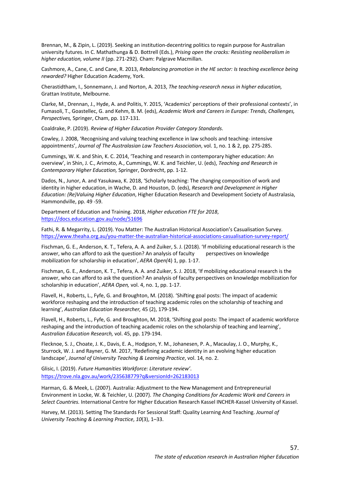Brennan, M., & Zipin, L. (2019). Seeking an institution-decentring politics to regain purpose for Australian university futures. In C. Mathathunga & D. Bottrell (Eds.), *Prising open the cracks: Resisting neoliberalism in higher education, volume II* (pp. 271-292). Cham: Palgrave Macmillan.

Cashmore, A., Cane, C. and Cane, R. 2013, *Rebalancing promotion in the HE sector: Is teaching excellence being rewarded?* Higher Education Academy, York.

Cherastidtham, I., Sonnemann, J. and Norton, A. 2013, *The teaching-research nexus in higher education,*  Grattan Institute, Melbourne.

Clarke, M., Drennan, J., Hyde, A. and Politis, Y. 2015, 'Academics' perceptions of their professional contexts', in Fumasoli, T., Goastellec, G. and Kehm, B. M. (eds), *Academic Work and Careers in Europe: Trends, Challenges, Perspectives,* Springer, Cham, pp. 117-131.

Coaldrake, P. (2019). *Review of Higher Education Provider Category Standards*.

Cowley, J. 2008, 'Recognising and valuing teaching excellence in law schools and teaching- intensive appointments', *Journal of The Australasian Law Teachers Association*, vol. 1, no. 1 & 2, pp. 275-285.

Cummings, W. K. and Shin, K. C. 2014, 'Teaching and research in contemporary higher education: An overview', in Shin, J. C., Arimoto, A., Cummings, W. K. and Teichler, U. (eds), *Teaching and Research in Contemporary Higher Education,* Springer, Dordrecht, pp. 1-12.

Dados, N., Junor, A. and Yasukawa, K. 2018, 'Scholarly teaching: The changing composition of work and identity in higher education, in Wache, D. and Houston, D. (eds), *Research and Development in Higher Education: (Re)Valuing Higher Education*, Higher Education Research and Development Society of Australasia, Hammondville, pp. 49 -59.

Department of Education and Training. 2018, *Higher education FTE for 2018*, https://docs.education.gov.au/node/51696

Fathi, R. & Megarrity, L. (2019). You Matter: The Australian Historical Association's Casualisation Survey. https://www.theaha.org.au/you-matter-the-australian-historical-associations-casualisation-survey-report/

Fischman, G. E., Anderson, K. T., Tefera, A. A. and Zuiker, S. J. (2018). 'If mobilizing educational research is the answer, who can afford to ask the question? An analysis of faculty perspectives on knowledge mobilization for scholarship in education', *AERA Open(*4) 1, pp. 1-17.

Fischman, G. E., Anderson, K. T., Tefera, A. A. and Zuiker, S. J. 2018, 'If mobilizing educational research is the answer, who can afford to ask the question? An analysis of faculty perspectives on knowledge mobilization for scholarship in education', *AERA Open,* vol. 4, no. 1, pp. 1-17.

Flavell, H., Roberts, L., Fyfe, G. and Broughton, M. (2018). 'Shifting goal posts: The impact of academic workforce reshaping and the introduction of teaching academic roles on the scholarship of teaching and learning', *Australian Education Researcher,* 45 (2), 179-194.

Flavell, H., Roberts, L., Fyfe, G. and Broughton, M. 2018, 'Shifting goal posts: The impact of academic workforce reshaping and the introduction of teaching academic roles on the scholarship of teaching and learning', *Australian Education Research,* vol. 45, pp. 179-194.

Flecknoe, S. J., Choate, J. K., Davis, E. A., Hodgson, Y. M., Johanesen, P. A., Macaulay, J. O., Murphy, K., Sturrock, W. J. and Rayner, G. M. 2017, 'Redefining academic identity in an evolving higher education landscape', *Journal of University Teaching & Learning Practice*, vol. 14, no. 2.

Glisic, I. (2019). *Future Humanities Workforce: Literature review'*. https://trove.nla.gov.au/work/235638779?q&versionId=262183013

Harman, G. & Meek, L. (2007). Australia: Adjustment to the New Management and Entrepreneurial Environment in Locke, W. & Teichler, U. (2007). *The Changing Conditions for Academic Work and Careers in Select Countries.* International Centre for Higher Education Research Kassel INCHER-Kassel University of Kassel.

Harvey, M. (2013). Setting The Standards For Sessional Staff: Quality Learning And Teaching. *Journal of University Teaching & Learning Practice*, *10*(3), 1–33.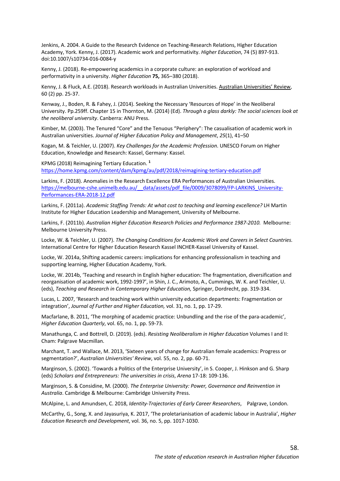Jenkins, A. 2004. A Guide to the Research Evidence on Teaching-Research Relations, Higher Education Academy, York. Kenny, J. (2017). Academic work and performativity. *Higher Education*, 74 (5) 897-913. doi:10.1007/s10734-016-0084-y

Kenny, J. (2018). Re-empowering academics in a corporate culture: an exploration of workload and performativity in a university. *Higher Education* **75,** 365–380 (2018).

Kenny, J. & Fluck, A.E. (2018). Research workloads in Australian Universities. Australian Universities' Review, 60 (2) pp. 25-37.

Kenway, J., Boden, R. & Fahey, J. (2014). Seeking the Necessary 'Resources of Hope' in the Neoliberal University. Pp.259ff. Chapter 15 in Thornton, M. (2014) (Ed). *Through a glass darkly: The social sciences look at the neoliberal university*. Canberra: ANU Press.

Kimber, M. (2003). The Tenured "Core" and the Tenuous "Periphery": The casualisation of academic work in Australian universities. *Journal of Higher Education Policy and Management*, *25*(1), 41–50

Kogan, M. & Teichler, U. (2007). *Key Challenges for the Academic Profession*. UNESCO Forum on Higher Education, Knowledge and Research: Kassel, Germany: Kassel.

KPMG (2018) Reimagining Tertiary Education. **<sup>1</sup>** https://home.kpmg.com/content/dam/kpmg/au/pdf/2018/reimagining-tertiary-education.pdf

Larkins, F. (2018). Anomalies in the Research Excellence ERA Performances of Australian Universities. https://melbourne-cshe.unimelb.edu.au/\_\_data/assets/pdf\_file/0009/3078099/FP-LARKINS\_University-Performances-ERA-2018-12.pdf

Larkins, F. (2011a). *Academic Staffing Trends: At what cost to teaching and learning excellence?* LH Martin Institute for Higher Education Leadership and Management, University of Melbourne.

Larkins, F. (2011b). *Australian Higher Education Research Policies and Performance 1987-2010.* Melbourne: Melbourne University Press.

Locke, W. & Teichler, U. (2007). *The Changing Conditions for Academic Work and Careers in Select Countries.* International Centre for Higher Education Research Kassel INCHER-Kassel University of Kassel.

Locke, W. 2014a, Shifting academic careers: implications for enhancing professionalism in teaching and supporting learning, Higher Education Academy, York.

Locke, W. 2014b, 'Teaching and research in English higher education: The fragmentation, diversification and reorganisation of academic work, 1992-1997', in Shin, J. C., Arimoto, A., Cummings, W. K. and Teichler, U. (eds), *Teaching and Research in Contemporary Higher Education,* Springer, Dordrecht, pp. 319-334.

Lucas, L. 2007, 'Research and teaching work within university education departments: Fragmentation or integration', *Journal of Further and Higher Education,* vol. 31, no. 1, pp. 17-29.

Macfarlane, B. 2011, 'The morphing of academic practice: Unbundling and the rise of the para-academic', *Higher Education Quarterly*, vol. 65, no. 1, pp. 59-73.

Manathunga, C. and Bottrell, D. (2019). (eds). *Resisting Neoliberalism in Higher Education* Volumes I and II: Cham: Palgrave Macmillan.

Marchant, T. and Wallace, M. 2013, 'Sixteen years of change for Australian female academics: Progress or segmentation?', *Australian Universities' Review*, vol. 55, no. 2, pp. 60-71.

Marginson, S. (2002). 'Towards a Politics of the Enterprise University', in S. Cooper, J. Hinkson and G. Sharp (eds) *Scholars and Entrepreneurs: The universities in crisis*, *Arena* 17-18: 109-136.

Marginson, S. & Considine, M. (2000). *The Enterprise University: Power, Governance and Reinvention in Australia*. Cambridge & Melbourne: Cambridge University Press.

McAlpine, L. and Amundsen, C. 2018, *Identity-Trajectories of Early Career Researchers*, Palgrave, London.

McCarthy, G., Song, X. and Jayasuriya, K. 2017, 'The proletarianisation of academic labour in Australia', *Higher Education Research and Development*, vol. 36, no. 5, pp. 1017-1030.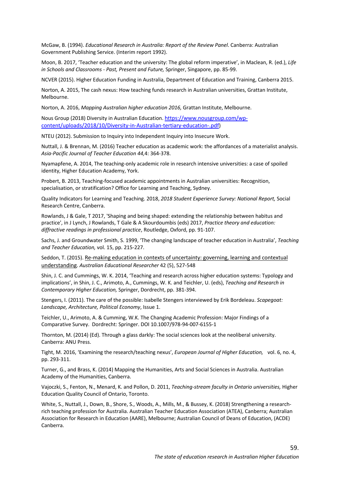McGaw, B. (1994). *Educational Research in Australia: Report of the Review Panel*. Canberra: Australian Government Publishing Service. (Interim report 1992).

Moon, B. 2017, 'Teacher education and the university: The global reform imperative', in Maclean, R. (ed.), *Life in Schools and Classrooms - Past, Present and Future,* Springer, Singapore, pp. 85-99.

NCVER (2015). Higher Education Funding in Australia, Department of Education and Training, Canberra 2015.

Norton, A. 2015, The cash nexus: How teaching funds research in Australian universities, Grattan Institute, Melbourne.

Norton, A. 2016, *Mapping Australian higher education 2016,* Grattan Institute, Melbourne.

Nous Group (2018) Diversity in Australian Education. https://www.nousgroup.com/wpcontent/uploads/2018/10/Diversity-in-Australian-tertiary-education-.pdf)

NTEU (2012). Submission to Inquiry into Independent Inquiry into Insecure Work.

Nuttall, J. & Brennan, M. (2016) Teacher education as academic work: the affordances of a materialist analysis. *Asia-Pacific Journal of Teacher Education 44,*4: 364-378.

Nyamapfene, A. 2014, The teaching-only academic role in research intensive universities: a case of spoiled identity, Higher Education Academy, York.

Probert, B. 2013, Teaching-focused academic appointments in Australian universities: Recognition, specialisation, or stratification? Office for Learning and Teaching, Sydney.

Quality Indicators for Learning and Teaching. 2018, *2018 Student Experience Survey: National Report,* Social Research Centre, Canberra.

Rowlands, J & Gale, T 2017, 'Shaping and being shaped: extending the relationship between habitus and practice', in J Lynch, J Rowlands, T Gale & A Skourdoumbis (eds) 2017, *Practice theory and education: diffractive readings in professional practice*, Routledge, Oxford, pp. 91-107.

Sachs, J. and Groundwater Smith, S. 1999, 'The changing landscape of teacher education in Australia', *Teaching and Teacher Education,* vol. 15, pp. 215-227.

Seddon, T. (2015). Re-making education in contexts of uncertainty: governing, learning and contextual understanding. *Australian Educational Researcher* 42 (5), 527-548

Shin, J. C. and Cummings, W. K. 2014, 'Teaching and research across higher education systems: Typology and implications', in Shin, J. C., Arimoto, A., Cummings, W. K. and Teichler, U. (eds), *Teaching and Research in Contemporary Higher Education,* Springer, Dordrecht, pp. 381-394.

Stengers, I. (2011). The care of the possible: Isabelle Stengers interviewed by Erik Bordeleau. *Scapegoat: Landscape, Architecture, Political Economy*, Issue 1.

Teichler, U., Arimoto, A. & Cumming, W.K. The Changing Academic Profession: Major Findings of a Comparative Survey. Dordrecht: Springer. DOI 10.1007/978-94-007-6155-1

Thornton, M. (2014) (Ed). Through a glass darkly: The social sciences look at the neoliberal university. Canberra: ANU Press.

Tight, M. 2016, 'Examining the research/teaching nexus', *European Journal of Higher Education,* vol. 6, no. 4, pp. 293-311.

Turner, G., and Brass, K. (2014) Mapping the Humanities, Arts and Social Sciences in Australia. Australian Academy of the Humanities, Canberra.

Vajoczki, S., Fenton, N., Menard, K. and Pollon, D. 2011, *Teaching-stream faculty in Ontario universities,* Higher Education Quality Council of Ontario, Toronto.

White, S., Nuttall, J., Down, B., Shore, S., Woods, A., Mills, M., & Bussey, K. (2018) Strengthening a researchrich teaching profession for Australia. Australian Teacher Education Association (ATEA), Canberra; Australian Association for Research in Education (AARE), Melbourne; Australian Council of Deans of Education, (ACDE) Canberra.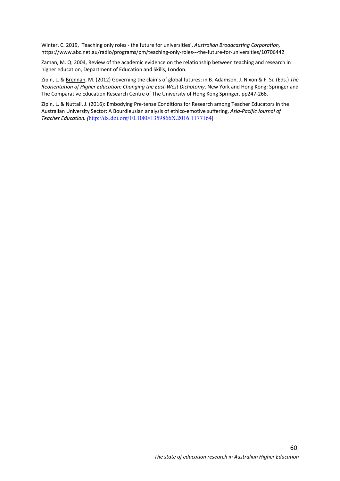Winter, C. 2019, 'Teaching only roles - the future for universities', *Australian Broadcasting Corporation,*  https://www.abc.net.au/radio/programs/pm/teaching-only-roles---the-future-for-universities/10706442

Zaman, M. Q. 2004, Review of the academic evidence on the relationship between teaching and research in higher education, Department of Education and Skills, London.

Zipin, L. & Brennan, M. (2012) Governing the claims of global futures; in B. Adamson, J. Nixon & F. Su (Eds.) *The Reorientation of Higher Education: Changing the East-West Dichotomy*. New York and Hong Kong: Springer and The Comparative Education Research Centre of The University of Hong Kong Springer. pp247-268.

Zipin, L. & Nuttall, J. (2016): Embodying Pre-tense Conditions for Research among Teacher Educators in the Australian University Sector: A Bourdieusian analysis of ethico-emotive suffering, *Asia-Pacific Journal of Teacher Education. (*http://dx.doi.org/10.1080/1359866X.2016.1177164)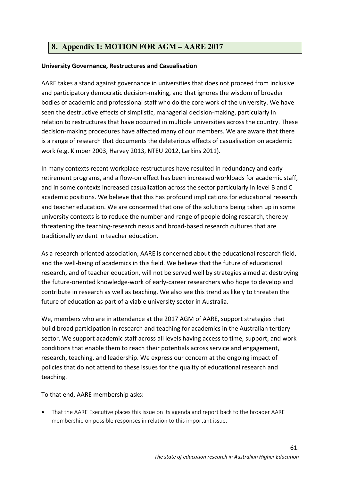# **8. Appendix 1: MOTION FOR AGM – AARE 2017**

## **University Governance, Restructures and Casualisation**

AARE takes a stand against governance in universities that does not proceed from inclusive and participatory democratic decision-making, and that ignores the wisdom of broader bodies of academic and professional staff who do the core work of the university. We have seen the destructive effects of simplistic, managerial decision-making, particularly in relation to restructures that have occurred in multiple universities across the country. These decision-making procedures have affected many of our members. We are aware that there is a range of research that documents the deleterious effects of casualisation on academic work (e.g. Kimber 2003, Harvey 2013, NTEU 2012, Larkins 2011).

In many contexts recent workplace restructures have resulted in redundancy and early retirement programs, and a flow-on effect has been increased workloads for academic staff, and in some contexts increased casualization across the sector particularly in level B and C academic positions. We believe that this has profound implications for educational research and teacher education. We are concerned that one of the solutions being taken up in some university contexts is to reduce the number and range of people doing research, thereby threatening the teaching-research nexus and broad-based research cultures that are traditionally evident in teacher education.

As a research-oriented association, AARE is concerned about the educational research field, and the well-being of academics in this field. We believe that the future of educational research, and of teacher education, will not be served well by strategies aimed at destroying the future-oriented knowledge-work of early-career researchers who hope to develop and contribute in research as well as teaching. We also see this trend as likely to threaten the future of education as part of a viable university sector in Australia.

We, members who are in attendance at the 2017 AGM of AARE, support strategies that build broad participation in research and teaching for academics in the Australian tertiary sector. We support academic staff across all levels having access to time, support, and work conditions that enable them to reach their potentials across service and engagement, research, teaching, and leadership. We express our concern at the ongoing impact of policies that do not attend to these issues for the quality of educational research and teaching.

To that end, AARE membership asks:

• That the AARE Executive places this issue on its agenda and report back to the broader AARE membership on possible responses in relation to this important issue.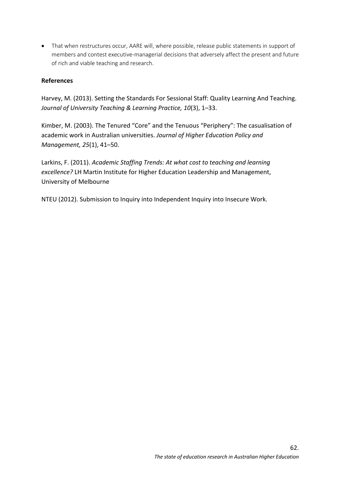• That when restructures occur, AARE will, where possible, release public statements in support of members and contest executive-managerial decisions that adversely affect the present and future of rich and viable teaching and research.

## **References**

Harvey, M. (2013). Setting the Standards For Sessional Staff: Quality Learning And Teaching. *Journal of University Teaching & Learning Practice, 10*(3), 1–33.

Kimber, M. (2003). The Tenured "Core" and the Tenuous "Periphery": The casualisation of academic work in Australian universities. *Journal of Higher Education Policy and Management, 25*(1), 41–50.

Larkins, F. (2011). *Academic Staffing Trends: At what cost to teaching and learning excellence?* LH Martin Institute for Higher Education Leadership and Management, University of Melbourne

NTEU (2012). Submission to Inquiry into Independent Inquiry into Insecure Work.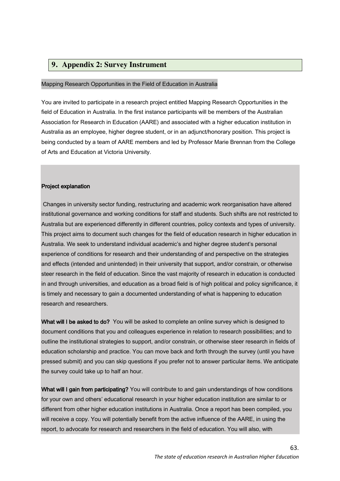## **9. Appendix 2: Survey Instrument**

#### Mapping Research Opportunities in the Field of Education in Australia

You are invited to participate in a research project entitled Mapping Research Opportunities in the field of Education in Australia. In the first instance participants will be members of the Australian Association for Research in Education (AARE) and associated with a higher education institution in Australia as an employee, higher degree student, or in an adjunct/honorary position. This project is being conducted by a team of AARE members and led by Professor Marie Brennan from the College of Arts and Education at Victoria University.

#### Project explanation

Changes in university sector funding, restructuring and academic work reorganisation have altered institutional governance and working conditions for staff and students. Such shifts are not restricted to Australia but are experienced differently in different countries, policy contexts and types of university. This project aims to document such changes for the field of education research in higher education in Australia. We seek to understand individual academic's and higher degree student's personal experience of conditions for research and their understanding of and perspective on the strategies and effects (intended and unintended) in their university that support, and/or constrain, or otherwise steer research in the field of education. Since the vast majority of research in education is conducted in and through universities, and education as a broad field is of high political and policy significance, it is timely and necessary to gain a documented understanding of what is happening to education research and researchers.

What will I be asked to do? You will be asked to complete an online survey which is designed to document conditions that you and colleagues experience in relation to research possibilities; and to outline the institutional strategies to support, and/or constrain, or otherwise steer research in fields of education scholarship and practice. You can move back and forth through the survey (until you have pressed submit) and you can skip questions if you prefer not to answer particular items. We anticipate the survey could take up to half an hour.

What will I gain from participating? You will contribute to and gain understandings of how conditions for your own and others' educational research in your higher education institution are similar to or different from other higher education institutions in Australia. Once a report has been compiled, you will receive a copy. You will potentially benefit from the active influence of the AARE, in using the report, to advocate for research and researchers in the field of education. You will also, with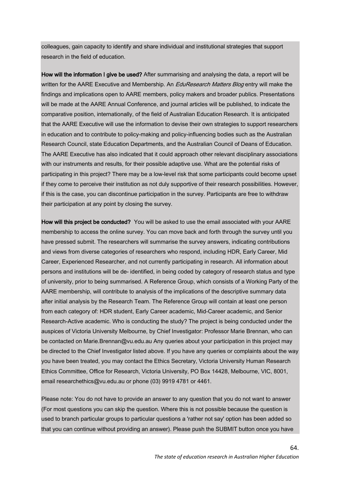colleagues, gain capacity to identify and share individual and institutional strategies that support research in the field of education.

How will the information I give be used? After summarising and analysing the data, a report will be written for the AARE Executive and Membership. An *EduResearch Matters Blog* entry will make the findings and implications open to AARE members, policy makers and broader publics. Presentations will be made at the AARE Annual Conference, and journal articles will be published, to indicate the comparative position, internationally, of the field of Australian Education Research. It is anticipated that the AARE Executive will use the information to devise their own strategies to support researchers in education and to contribute to policy-making and policy-influencing bodies such as the Australian Research Council, state Education Departments, and the Australian Council of Deans of Education. The AARE Executive has also indicated that it could approach other relevant disciplinary associations with our instruments and results, for their possible adaptive use. What are the potential risks of participating in this project? There may be a low-level risk that some participants could become upset if they come to perceive their institution as not duly supportive of their research possibilities. However, if this is the case, you can discontinue participation in the survey. Participants are free to withdraw their participation at any point by closing the survey.

How will this project be conducted? You will be asked to use the email associated with your AARE membership to access the online survey. You can move back and forth through the survey until you have pressed submit. The researchers will summarise the survey answers, indicating contributions and views from diverse categories of researchers who respond, including HDR, Early Career, Mid Career, Experienced Researcher, and not currently participating in research. All information about persons and institutions will be de- identified, in being coded by category of research status and type of university, prior to being summarised. A Reference Group, which consists of a Working Party of the AARE membership, will contribute to analysis of the implications of the descriptive summary data after initial analysis by the Research Team. The Reference Group will contain at least one person from each category of: HDR student, Early Career academic, Mid-Career academic, and Senior Research-Active academic. Who is conducting the study? The project is being conducted under the auspices of Victoria University Melbourne, by Chief Investigator: Professor Marie Brennan, who can be contacted on Marie.Brennan@vu.edu.au Any queries about your participation in this project may be directed to the Chief Investigator listed above. If you have any queries or complaints about the way you have been treated, you may contact the Ethics Secretary, Victoria University Human Research Ethics Committee, Office for Research, Victoria University, PO Box 14428, Melbourne, VIC, 8001, email researchethics@vu.edu.au or phone (03) 9919 4781 or 4461.

Please note: You do not have to provide an answer to any question that you do not want to answer (For most questions you can skip the question. Where this is not possible because the question is used to branch particular groups to particular questions a 'rather not say' option has been added so that you can continue without providing an answer). Please push the SUBMIT button once you have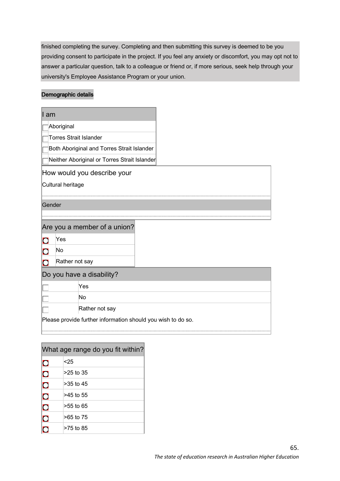finished completing the survey. Completing and then submitting this survey is deemed to be you providing consent to participate in the project. If you feel any anxiety or discomfort, you may opt not to answer a particular question, talk to a colleague or friend or, if more serious, seek help through your university's Employee Assistance Program or your union.

## Demographic details

| ∥ am   |                                            |                                                              |  |
|--------|--------------------------------------------|--------------------------------------------------------------|--|
|        | Aboriginal                                 |                                                              |  |
|        |                                            | <b>Torres Strait Islander</b>                                |  |
|        | Both Aboriginal and Torres Strait Islander |                                                              |  |
|        |                                            | Neither Aboriginal or Torres Strait Islander                 |  |
|        |                                            | How would you describe your                                  |  |
|        | Cultural heritage                          |                                                              |  |
|        |                                            |                                                              |  |
| Gender |                                            |                                                              |  |
|        |                                            |                                                              |  |
|        |                                            | Are you a member of a union?                                 |  |
| 7      | Yes                                        |                                                              |  |
| ∩      | No                                         |                                                              |  |
| n      | Rather not say                             |                                                              |  |
|        |                                            | Do you have a disability?                                    |  |
|        |                                            | Yes                                                          |  |
|        |                                            | No                                                           |  |
|        |                                            | Rather not say                                               |  |
|        |                                            | Please provide further information should you wish to do so. |  |
|        |                                            |                                                              |  |

| What age range do you fit within? |           |  |  |  |
|-----------------------------------|-----------|--|--|--|
| $\mathbf O$                       | < 25      |  |  |  |
| $\overline{C}$                    | >25 to 35 |  |  |  |
| $\overline{\text{O}}$             | >35 to 45 |  |  |  |
| $\overline{\textbf{C}}$           | >45 to 55 |  |  |  |
| $\overline{\text{O}}$             | >55 to 65 |  |  |  |
| $\mathbf O$                       | >65 to 75 |  |  |  |
|                                   | >75 to 85 |  |  |  |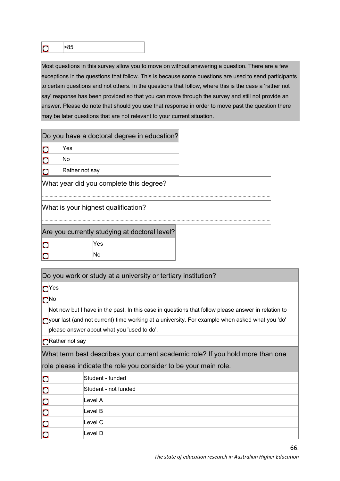$\overline{O}$ 

>85

Most questions in this survey allow you to move on without answering a question. There are a few exceptions in the questions that follow. This is because some questions are used to send participants to certain questions and not others. In the questions that follow, where this is the case a 'rather not say' response has been provided so that you can move through the survey and still not provide an answer. Please do note that should you use that response in order to move past the question there may be later questions that are not relevant to your current situation.

|                                     |                                               | Do you have a doctoral degree in education? |  |  |  |  |  |
|-------------------------------------|-----------------------------------------------|---------------------------------------------|--|--|--|--|--|
|                                     | Yes                                           |                                             |  |  |  |  |  |
|                                     | No                                            |                                             |  |  |  |  |  |
|                                     | Rather not say                                |                                             |  |  |  |  |  |
|                                     | What year did you complete this degree?       |                                             |  |  |  |  |  |
| What is your highest qualification? |                                               |                                             |  |  |  |  |  |
|                                     | Are you currently studying at doctoral level? |                                             |  |  |  |  |  |
|                                     |                                               | Yes                                         |  |  |  |  |  |
|                                     |                                               | No                                          |  |  |  |  |  |

| Do you work or study at a university or tertiary institution? |                                                                                                          |  |  |  |  |  |  |
|---------------------------------------------------------------|----------------------------------------------------------------------------------------------------------|--|--|--|--|--|--|
| $\neg$ Yes                                                    |                                                                                                          |  |  |  |  |  |  |
| $\Box$ No                                                     |                                                                                                          |  |  |  |  |  |  |
|                                                               | Not now but I have in the past. In this case in questions that follow please answer in relation to       |  |  |  |  |  |  |
|                                                               | $\bigcap$ your last (and not current) time working at a university. For example when asked what you 'do' |  |  |  |  |  |  |
|                                                               | please answer about what you 'used to do'.                                                               |  |  |  |  |  |  |
| $\bigcap$ Rather not say                                      |                                                                                                          |  |  |  |  |  |  |
|                                                               | What term best describes your current academic role? If you hold more than one                           |  |  |  |  |  |  |
|                                                               | role please indicate the role you consider to be your main role.                                         |  |  |  |  |  |  |
| $\bigcirc$                                                    | Student - funded                                                                                         |  |  |  |  |  |  |
|                                                               | Student - not funded                                                                                     |  |  |  |  |  |  |
| $\overline{\mathbf{C}}$<br>Level A                            |                                                                                                          |  |  |  |  |  |  |
|                                                               | Level B                                                                                                  |  |  |  |  |  |  |
|                                                               | Level C                                                                                                  |  |  |  |  |  |  |
|                                                               | Level D                                                                                                  |  |  |  |  |  |  |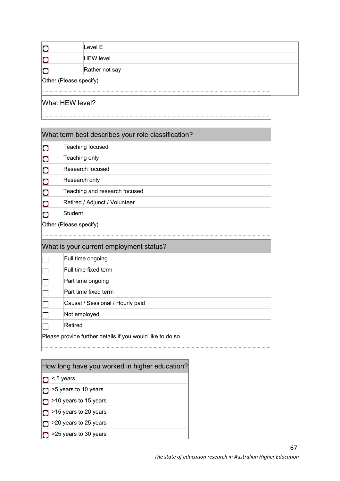|                        | Level E          |  |  |  |  |
|------------------------|------------------|--|--|--|--|
|                        | <b>HEW level</b> |  |  |  |  |
|                        | Rather not say   |  |  |  |  |
| Other (Please specify) |                  |  |  |  |  |
| .                      |                  |  |  |  |  |

# What HEW level?

| What term best describes your role classification?         |                                         |  |  |  |  |
|------------------------------------------------------------|-----------------------------------------|--|--|--|--|
| $\overline{C}$                                             | Teaching focused                        |  |  |  |  |
| $\overline{C}$                                             | Teaching only                           |  |  |  |  |
| $\overline{O}$                                             | Research focused                        |  |  |  |  |
| $\overline{O}$                                             | Research only                           |  |  |  |  |
| $\overline{O}$                                             | Teaching and research focused           |  |  |  |  |
| $\overline{O}$                                             | Retired / Adjunct / Volunteer           |  |  |  |  |
| $\bigcap$                                                  | <b>Student</b>                          |  |  |  |  |
|                                                            | Other (Please specify)                  |  |  |  |  |
|                                                            |                                         |  |  |  |  |
|                                                            | What is your current employment status? |  |  |  |  |
|                                                            | Full time ongoing                       |  |  |  |  |
|                                                            | Full time fixed term                    |  |  |  |  |
|                                                            | Part time ongoing                       |  |  |  |  |
|                                                            | Part time fixed term                    |  |  |  |  |
|                                                            | Causal / Sessional / Hourly paid        |  |  |  |  |
|                                                            | Not employed                            |  |  |  |  |
|                                                            | Retired                                 |  |  |  |  |
| Please provide further details if you would like to do so. |                                         |  |  |  |  |

# How long have you worked in higher education?

- $\overline{O}$  < 5 years
- $\overline{O}$  >5 years to 10 years
- $\sigma$  >10 years to 15 years
- $\boxed{\bigcirc}$  >15 years to 20 years
- $\log$  >20 years to 25 years
- $\overline{O}$  >25 years to 30 years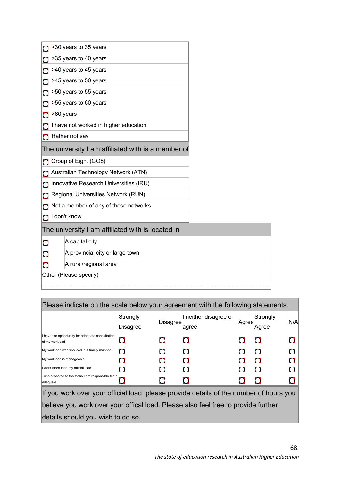|             | >30 years to 35 years                              |  |  |  |  |
|-------------|----------------------------------------------------|--|--|--|--|
|             | >35 years to 40 years                              |  |  |  |  |
|             | >40 years to 45 years                              |  |  |  |  |
|             | >45 years to 50 years                              |  |  |  |  |
|             | >50 years to 55 years                              |  |  |  |  |
|             | >55 years to 60 years                              |  |  |  |  |
|             | >60 years                                          |  |  |  |  |
|             | I have not worked in higher education              |  |  |  |  |
|             | Rather not say                                     |  |  |  |  |
|             | The university I am affiliated with is a member of |  |  |  |  |
|             | Group of Eight (GO8)                               |  |  |  |  |
|             | Australian Technology Network (ATN)                |  |  |  |  |
|             | Innovative Research Universities (IRU)             |  |  |  |  |
|             | Regional Universities Network (RUN)                |  |  |  |  |
|             | Not a member of any of these networks              |  |  |  |  |
|             | I don't know                                       |  |  |  |  |
|             | The university I am affiliated with is located in  |  |  |  |  |
| $\bigcirc$  | A capital city                                     |  |  |  |  |
| $\mathbf O$ | A provincial city or large town                    |  |  |  |  |
|             | A rural/regional area                              |  |  |  |  |
|             | Other (Please specify)                             |  |  |  |  |
|             |                                                    |  |  |  |  |

| Please indicate on the scale below your agreement with the following statements.       |                             |                 |                                |       |                   |           |  |  |
|----------------------------------------------------------------------------------------|-----------------------------|-----------------|--------------------------------|-------|-------------------|-----------|--|--|
|                                                                                        | Strongly<br><b>Disagree</b> | <b>Disagree</b> | I neither disagree or<br>agree | Agree | Strongly<br>Aaree | N/A       |  |  |
| I have the opportunity for adequate consultation<br>of my workload                     |                             |                 | $\Box$                         |       |                   |           |  |  |
| My workload was finalised in a timely manner                                           |                             |                 | $\Box$                         |       |                   |           |  |  |
| My workload is manageable                                                              |                             |                 | n                              |       |                   |           |  |  |
| I work more than my official load                                                      |                             |                 | n                              |       |                   | $\bigcap$ |  |  |
| Time allocated to the tasks I am responsible for is<br>adequate                        |                             |                 | 0                              |       |                   |           |  |  |
| If you work over your official load, please provide details of the number of hours you |                             |                 |                                |       |                   |           |  |  |

believe you work over your offical load. Please also feel free to provide further details should you wish to do so.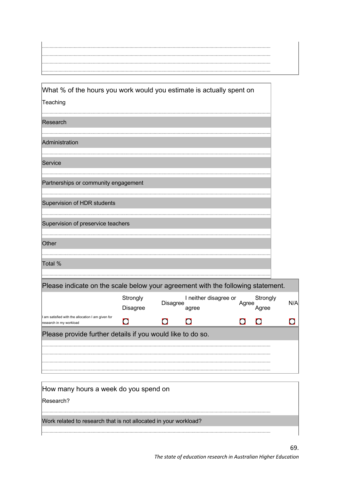| . |  |  |
|---|--|--|
|   |  |  |
|   |  |  |
| . |  |  |
| . |  |  |

| What % of the hours you work would you estimate is actually spent on           |
|--------------------------------------------------------------------------------|
| Teaching                                                                       |
| Research                                                                       |
|                                                                                |
| Administration                                                                 |
|                                                                                |
| Service                                                                        |
|                                                                                |
| Partnerships or community engagement                                           |
|                                                                                |
| Supervision of HDR students                                                    |
|                                                                                |
| Supervision of preservice teachers                                             |
|                                                                                |
| Other                                                                          |
|                                                                                |
| Total %                                                                        |
|                                                                                |
| Plasse indicate on the scale helow your agreement with the following statement |

| <u><b>I</b></u> Todoo indicato on the codic bolon your agreement with the relieving clatement. |                      |                 |                                |       |                   |     |  |  |
|------------------------------------------------------------------------------------------------|----------------------|-----------------|--------------------------------|-------|-------------------|-----|--|--|
|                                                                                                | Strongly<br>Disagree | <b>Disagree</b> | I neither disagree or<br>agree | Agree | Strongly<br>Agree | N/A |  |  |
| I am satisfied with the allocation I am given for<br>research in my workload                   |                      |                 |                                |       |                   |     |  |  |
| Please provide further details if you would like to do so.                                     |                      |                 |                                |       |                   |     |  |  |
|                                                                                                |                      |                 |                                |       |                   |     |  |  |
|                                                                                                |                      |                 |                                |       |                   |     |  |  |
|                                                                                                |                      |                 |                                |       |                   |     |  |  |

| How many hours a week do you spend on                            |  |
|------------------------------------------------------------------|--|
| Research?                                                        |  |
|                                                                  |  |
| Work related to research that is not allocated in your workload? |  |
|                                                                  |  |

 $\sim$ nt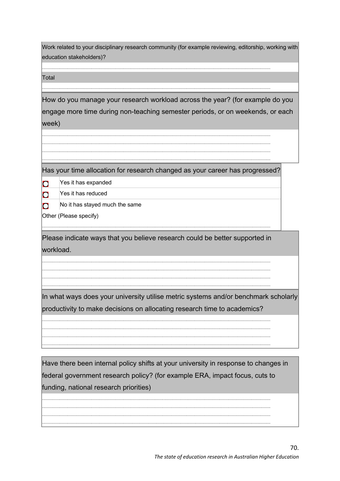| Work related to your disciplinary research community (for example reviewing, editorship, working with<br>education stakeholders)? |                                                                                                                                                                 |  |  |  |
|-----------------------------------------------------------------------------------------------------------------------------------|-----------------------------------------------------------------------------------------------------------------------------------------------------------------|--|--|--|
| Total                                                                                                                             |                                                                                                                                                                 |  |  |  |
|                                                                                                                                   |                                                                                                                                                                 |  |  |  |
|                                                                                                                                   | How do you manage your research workload across the year? (for example do you                                                                                   |  |  |  |
|                                                                                                                                   | engage more time during non-teaching semester periods, or on weekends, or each                                                                                  |  |  |  |
| week)                                                                                                                             |                                                                                                                                                                 |  |  |  |
|                                                                                                                                   |                                                                                                                                                                 |  |  |  |
|                                                                                                                                   |                                                                                                                                                                 |  |  |  |
|                                                                                                                                   |                                                                                                                                                                 |  |  |  |
|                                                                                                                                   | Has your time allocation for research changed as your career has progressed?                                                                                    |  |  |  |
| $\mathbf O$                                                                                                                       | Yes it has expanded                                                                                                                                             |  |  |  |
| $\overline{O}$                                                                                                                    | Yes it has reduced                                                                                                                                              |  |  |  |
| $\Omega$                                                                                                                          | No it has stayed much the same                                                                                                                                  |  |  |  |
|                                                                                                                                   | Other (Please specify)                                                                                                                                          |  |  |  |
|                                                                                                                                   |                                                                                                                                                                 |  |  |  |
| Please indicate ways that you believe research could be better supported in<br>workload.                                          |                                                                                                                                                                 |  |  |  |
|                                                                                                                                   |                                                                                                                                                                 |  |  |  |
|                                                                                                                                   |                                                                                                                                                                 |  |  |  |
|                                                                                                                                   |                                                                                                                                                                 |  |  |  |
|                                                                                                                                   |                                                                                                                                                                 |  |  |  |
|                                                                                                                                   | In what ways does your university utilise metric systems and/or benchmark scholarly<br>productivity to make decisions on allocating research time to academics? |  |  |  |
|                                                                                                                                   |                                                                                                                                                                 |  |  |  |
|                                                                                                                                   |                                                                                                                                                                 |  |  |  |
|                                                                                                                                   |                                                                                                                                                                 |  |  |  |
|                                                                                                                                   |                                                                                                                                                                 |  |  |  |
|                                                                                                                                   | Have there been internal policy shifts at your university in response to changes in                                                                             |  |  |  |
| federal government research policy? (for example ERA, impact focus, cuts to                                                       |                                                                                                                                                                 |  |  |  |
| funding, national research priorities)                                                                                            |                                                                                                                                                                 |  |  |  |
|                                                                                                                                   |                                                                                                                                                                 |  |  |  |
|                                                                                                                                   |                                                                                                                                                                 |  |  |  |
|                                                                                                                                   |                                                                                                                                                                 |  |  |  |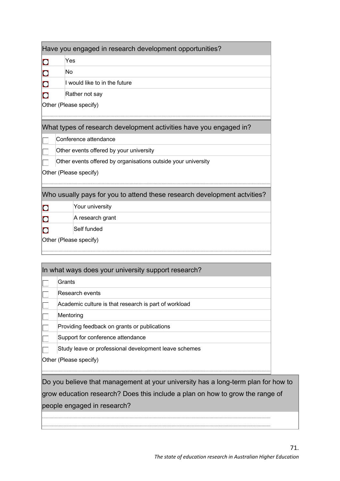| Have you engaged in research development opportunities?                  |                                                               |  |  |  |  |
|--------------------------------------------------------------------------|---------------------------------------------------------------|--|--|--|--|
| $\overline{O}$                                                           | Yes                                                           |  |  |  |  |
| $\mathbf O$                                                              | No                                                            |  |  |  |  |
| $\mathbf O$                                                              | I would like to in the future                                 |  |  |  |  |
| n                                                                        | Rather not say                                                |  |  |  |  |
| Other (Please specify)                                                   |                                                               |  |  |  |  |
|                                                                          |                                                               |  |  |  |  |
| What types of research development activities have you engaged in?       |                                                               |  |  |  |  |
|                                                                          | Conference attendance                                         |  |  |  |  |
|                                                                          | Other events offered by your university                       |  |  |  |  |
|                                                                          | Other events offered by organisations outside your university |  |  |  |  |
| Other (Please specify)                                                   |                                                               |  |  |  |  |
|                                                                          |                                                               |  |  |  |  |
| Who usually pays for you to attend these research development actvities? |                                                               |  |  |  |  |
| $\Box$                                                                   | Your university                                               |  |  |  |  |
|                                                                          | A research grant                                              |  |  |  |  |
|                                                                          | Self funded                                                   |  |  |  |  |
| Other (Please specify)                                                   |                                                               |  |  |  |  |
|                                                                          |                                                               |  |  |  |  |

| In what ways does your university support research?                        |                                                       |  |  |
|----------------------------------------------------------------------------|-------------------------------------------------------|--|--|
|                                                                            | Grants                                                |  |  |
|                                                                            | Research events                                       |  |  |
|                                                                            | Academic culture is that research is part of workload |  |  |
|                                                                            | Mentoring                                             |  |  |
|                                                                            | Providing feedback on grants or publications          |  |  |
|                                                                            | Support for conference attendance                     |  |  |
|                                                                            | Study leave or professional development leave schemes |  |  |
| Other (Please specify)                                                     |                                                       |  |  |
|                                                                            |                                                       |  |  |
| Do vou believe that management at vour university has a long-term plan for |                                                       |  |  |

elieve that management at your university has a long-term plan for how to grow education research? Does this include a plan on how to grow the range of people engaged in research?

.................................................................................................................................................................................... ....................................................................................................................................................................................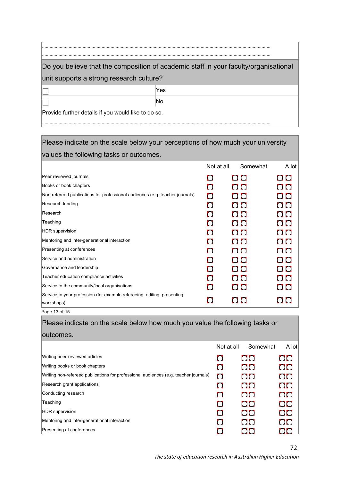| Do you believe that the composition of academic staff in your faculty/organisational |     |  |  |
|--------------------------------------------------------------------------------------|-----|--|--|
| unit supports a strong research culture?                                             |     |  |  |
|                                                                                      | Yes |  |  |
|                                                                                      | No  |  |  |
| Provide further details if you would like to do so.                                  |     |  |  |
|                                                                                      |     |  |  |

| Please indicate on the scale below your perceptions of how much your university       |                |          |                               |
|---------------------------------------------------------------------------------------|----------------|----------|-------------------------------|
| values the following tasks or outcomes.                                               |                |          |                               |
|                                                                                       | Not at all     | Somewhat | $A$ lot                       |
| Peer reviewed journals                                                                | n              | OO       | $\overline{O}$                |
| Books or book chapters                                                                | $\Omega$       | OO       | OO                            |
| Non-refereed publications for professional audiences (e.g. teacher journals)          | $\Box$         | OO       | O <sub>O</sub>                |
| Research funding                                                                      | $\Box$         | OO       | $\overline{O}$                |
| Research                                                                              | $\Box$         | OO       | $\overline{O}$ $\overline{O}$ |
| Teaching                                                                              | $\Box$         | OO       | $\overline{O}$                |
| <b>HDR</b> supervision                                                                | $\Gamma$       | OO       | OO                            |
| Mentoring and inter-generational interaction                                          | $\blacksquare$ | OO       | O O                           |
| Presenting at conferences                                                             | $\Box$         | OO       | O O                           |
| Service and administration                                                            | $\Box$         | OO       | O O                           |
| Governance and leadership                                                             | $\Box$         | OO       | OO                            |
| Teacher education compliance activities                                               | $\Omega$       | OO       | $\overline{O}$                |
| Service to the community/local organisations                                          | $\blacksquare$ | OO       | O O                           |
| Service to your profession (for example refereeing, editing, presenting<br>workshops) | O              | OO       |                               |
|                                                                                       |                |          |                               |

Page 13 of 15

| Please indicate on the scale below how much you value the following tasks or         |            |          |        |
|--------------------------------------------------------------------------------------|------------|----------|--------|
| outcomes.                                                                            |            |          |        |
|                                                                                      | Not at all | Somewhat | A lot  |
| Writing peer-reviewed articles                                                       | O          | OO       | OO     |
| Writing books or book chapters                                                       | $\Box$     | OO       | OO     |
| Writing non-refereed publications for professional audiences (e.g. teacher journals) | $\Omega$   | OO       | OO     |
| Research grant applications                                                          | $\Omega$   | OO       | OO     |
| Conducting research                                                                  | $\Box$     | OO       | OO     |
| Teaching                                                                             |            | OK 1     | $\cup$ |

| Teaching                                     | $\mathbf C$ | OO. |
|----------------------------------------------|-------------|-----|
| <b>HDR</b> supervision                       | $\Box$      | OO. |
| Mentoring and inter-generational interaction | $\Box$      | OO. |
| Presenting at conferences                    | $\Box$      | OO  |
|                                              |             |     |

 $\overline{O}O$ 

OO

OO